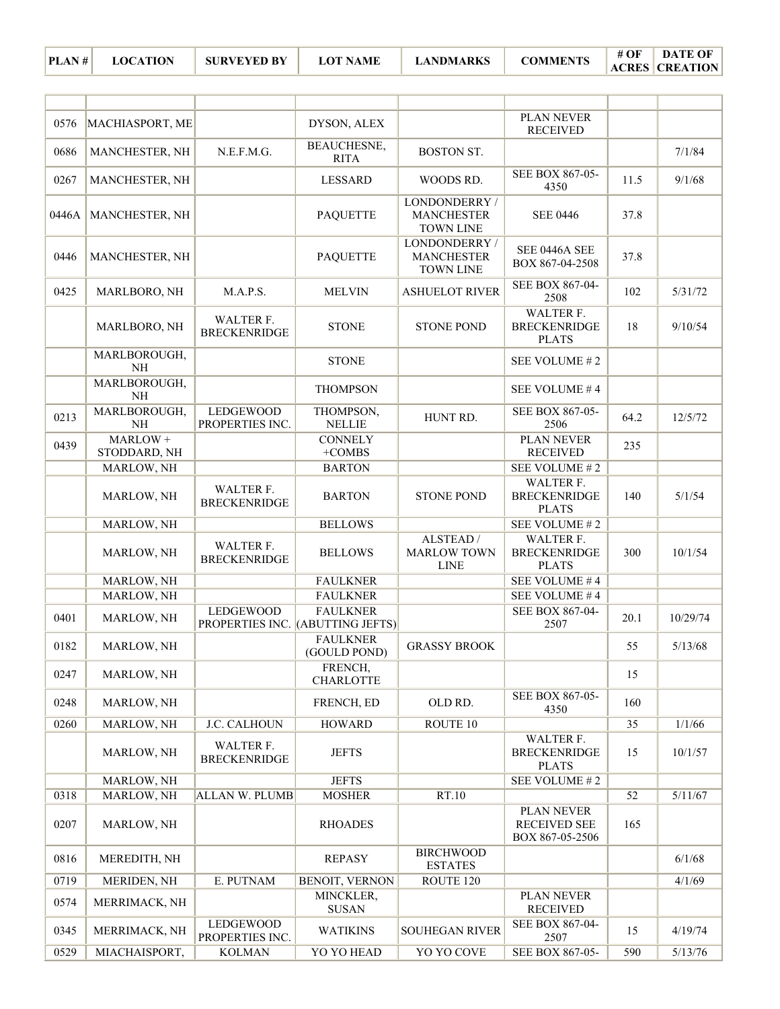| 0576  | MACHIASPORT, ME           |                                     | DYSON, ALEX                                         |                                                        | PLAN NEVER<br><b>RECEIVED</b>                           |      |          |
|-------|---------------------------|-------------------------------------|-----------------------------------------------------|--------------------------------------------------------|---------------------------------------------------------|------|----------|
| 0686  | MANCHESTER, NH            | N.E.F.M.G.                          | <b>BEAUCHESNE,</b><br><b>RITA</b>                   | <b>BOSTON ST.</b>                                      |                                                         |      | 7/1/84   |
| 0267  | MANCHESTER, NH            |                                     | <b>LESSARD</b>                                      | WOODS RD.                                              | SEE BOX 867-05-<br>4350                                 | 11.5 | 9/1/68   |
| 0446A | MANCHESTER, NH            |                                     | <b>PAQUETTE</b>                                     | LONDONDERRY /<br><b>MANCHESTER</b><br><b>TOWN LINE</b> | <b>SEE 0446</b>                                         | 37.8 |          |
| 0446  | MANCHESTER, NH            |                                     | <b>PAQUETTE</b>                                     | LONDONDERRY /<br><b>MANCHESTER</b><br><b>TOWN LINE</b> | SEE 0446A SEE<br>BOX 867-04-2508                        | 37.8 |          |
| 0425  | MARLBORO, NH              | M.A.P.S.                            | <b>MELVIN</b>                                       | <b>ASHUELOT RIVER</b>                                  | SEE BOX 867-04-<br>2508                                 | 102  | 5/31/72  |
|       | MARLBORO, NH              | WALTER F.<br><b>BRECKENRIDGE</b>    | <b>STONE</b>                                        | <b>STONE POND</b>                                      | WALTER F.<br><b>BRECKENRIDGE</b><br><b>PLATS</b>        | 18   | 9/10/54  |
|       | MARLBOROUGH,<br><b>NH</b> |                                     | <b>STONE</b>                                        |                                                        | SEE VOLUME #2                                           |      |          |
|       | MARLBOROUGH,<br>NH        |                                     | <b>THOMPSON</b>                                     |                                                        | SEE VOLUME #4                                           |      |          |
| 0213  | MARLBOROUGH,<br><b>NH</b> | <b>LEDGEWOOD</b><br>PROPERTIES INC. | THOMPSON,<br><b>NELLIE</b>                          | HUNT RD.                                               | SEE BOX 867-05-<br>2506                                 | 64.2 | 12/5/72  |
| 0439  | MARLOW +<br>STODDARD, NH  |                                     | <b>CONNELY</b><br>$+COMBS$                          |                                                        | PLAN NEVER<br><b>RECEIVED</b>                           | 235  |          |
|       | MARLOW, NH                |                                     | <b>BARTON</b>                                       |                                                        | SEE VOLUME #2                                           |      |          |
|       | MARLOW, NH                | WALTER F.<br><b>BRECKENRIDGE</b>    | <b>BARTON</b>                                       | <b>STONE POND</b>                                      | WALTER F.<br><b>BRECKENRIDGE</b><br><b>PLATS</b>        | 140  | 5/1/54   |
|       | MARLOW, NH                |                                     | <b>BELLOWS</b>                                      |                                                        | SEE VOLUME #2                                           |      |          |
|       | MARLOW, NH                | WALTER F.<br><b>BRECKENRIDGE</b>    | <b>BELLOWS</b>                                      | ALSTEAD/<br><b>MARLOW TOWN</b><br><b>LINE</b>          | <b>WALTER F.</b><br><b>BRECKENRIDGE</b><br><b>PLATS</b> | 300  | 10/1/54  |
|       | MARLOW, NH                |                                     | <b>FAULKNER</b>                                     |                                                        | SEE VOLUME #4                                           |      |          |
|       | MARLOW, NH                |                                     | <b>FAULKNER</b>                                     |                                                        | SEE VOLUME #4                                           |      |          |
| 0401  | MARLOW, NH                | <b>LEDGEWOOD</b>                    | <b>FAULKNER</b><br>PROPERTIES INC. (ABUTTING JEFTS) |                                                        | SEE BOX 867-04-<br>2507                                 | 20.1 | 10/29/74 |
| 0182  | MARLOW, NH                |                                     | <b>FAULKNER</b><br>(GOULD POND)                     | <b>GRASSY BROOK</b>                                    |                                                         | 55   | 5/13/68  |
| 0247  | MARLOW, NH                |                                     | FRENCH,<br><b>CHARLOTTE</b>                         |                                                        |                                                         | 15   |          |
| 0248  | MARLOW, NH                |                                     | FRENCH, ED                                          | OLD RD.                                                | SEE BOX 867-05-<br>4350                                 | 160  |          |
| 0260  | MARLOW, NH                | J.C. CALHOUN                        | <b>HOWARD</b>                                       | ROUTE 10                                               |                                                         | 35   | 1/1/66   |
|       | MARLOW, NH                | WALTER F.<br><b>BRECKENRIDGE</b>    | <b>JEFTS</b>                                        |                                                        | WALTER F.<br><b>BRECKENRIDGE</b><br><b>PLATS</b>        | 15   | 10/1/57  |
|       | MARLOW, NH                |                                     | <b>JEFTS</b>                                        |                                                        | SEE VOLUME #2                                           |      |          |
| 0318  | MARLOW, NH                | <b>ALLAN W. PLUMB</b>               | <b>MOSHER</b>                                       | RT.10                                                  |                                                         | 52   | 5/11/67  |
| 0207  | MARLOW, NH                |                                     | <b>RHOADES</b>                                      |                                                        | PLAN NEVER<br>RECEIVED SEE<br>BOX 867-05-2506           | 165  |          |
| 0816  | MEREDITH, NH              |                                     | <b>REPASY</b>                                       | <b>BIRCHWOOD</b><br><b>ESTATES</b>                     |                                                         |      | 6/1/68   |
| 0719  | MERIDEN, NH               | E. PUTNAM                           | BENOIT, VERNON                                      | ROUTE 120                                              |                                                         |      | 4/1/69   |
| 0574  | MERRIMACK, NH             |                                     | MINCKLER,<br><b>SUSAN</b>                           |                                                        | PLAN NEVER<br><b>RECEIVED</b>                           |      |          |
| 0345  | MERRIMACK, NH             | <b>LEDGEWOOD</b><br>PROPERTIES INC. | <b>WATIKINS</b>                                     | <b>SOUHEGAN RIVER</b>                                  | SEE BOX 867-04-<br>2507                                 | 15   | 4/19/74  |
| 0529  | MIACHAISPORT,             | <b>KOLMAN</b>                       | YO YO HEAD                                          | YO YO COVE                                             | SEE BOX 867-05-                                         | 590  | 5/13/76  |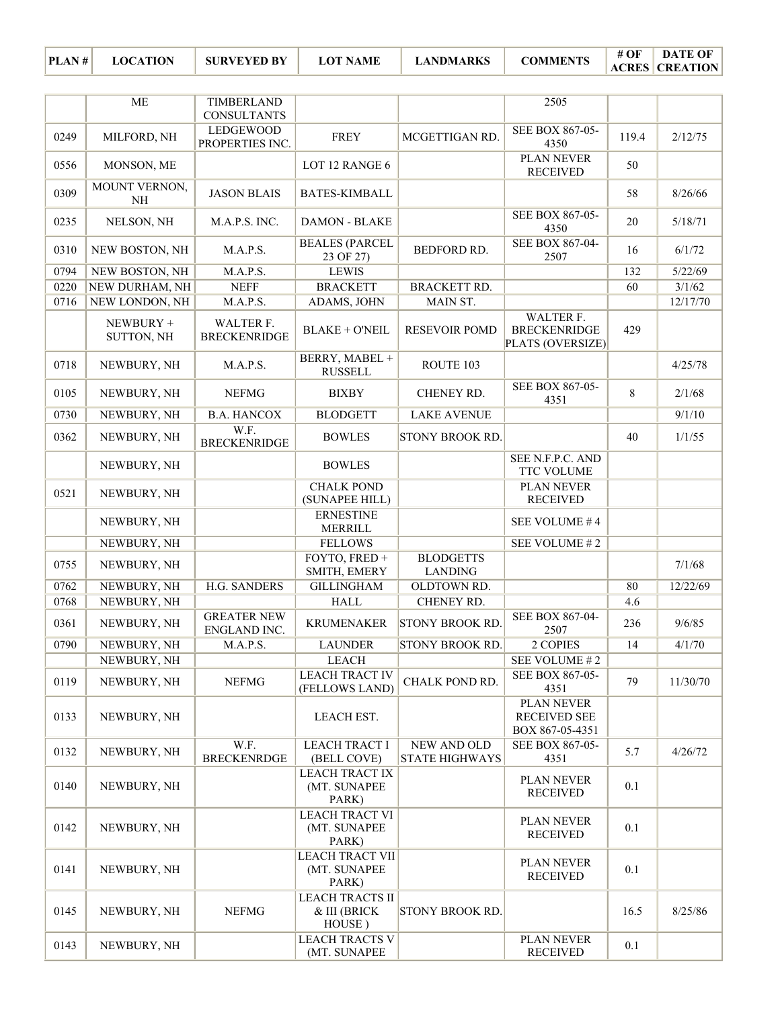**ACRES CREATION DATE OF** 

|      | <b>ME</b>               | TIMBERLAND                         |                                                  |                                      | 2505                                                 |         |          |
|------|-------------------------|------------------------------------|--------------------------------------------------|--------------------------------------|------------------------------------------------------|---------|----------|
|      |                         | <b>CONSULTANTS</b>                 |                                                  |                                      |                                                      |         |          |
| 0249 | MILFORD, NH             | LEDGEWOOD<br>PROPERTIES INC.       | <b>FREY</b>                                      | MCGETTIGAN RD.                       | SEE BOX 867-05-<br>4350                              | 119.4   | 2/12/75  |
| 0556 | MONSON, ME              |                                    | LOT 12 RANGE 6                                   |                                      | PLAN NEVER<br><b>RECEIVED</b>                        | 50      |          |
| 0309 | MOUNT VERNON,<br>NH     | <b>JASON BLAIS</b>                 | <b>BATES-KIMBALL</b>                             |                                      |                                                      | 58      | 8/26/66  |
| 0235 | NELSON, NH              | M.A.P.S. INC.                      | <b>DAMON - BLAKE</b>                             |                                      | SEE BOX 867-05-<br>4350                              | 20      | 5/18/71  |
| 0310 | NEW BOSTON, NH          | M.A.P.S.                           | <b>BEALES (PARCEL</b><br>23 OF 27)               | BEDFORD RD.                          | SEE BOX 867-04-<br>2507                              | 16      | 6/1/72   |
| 0794 | NEW BOSTON, NH          | M.A.P.S.                           | <b>LEWIS</b>                                     |                                      |                                                      | 132     | 5/22/69  |
| 0220 | NEW DURHAM, NH          | <b>NEFF</b>                        | <b>BRACKETT</b>                                  | <b>BRACKETT RD.</b>                  |                                                      | 60      | 3/1/62   |
| 0716 | NEW LONDON, NH          | M.A.P.S.                           | ADAMS, JOHN                                      | MAIN ST.                             |                                                      |         | 12/17/70 |
|      | NEWBURY +<br>SUTTON, NH | WALTER F.<br><b>BRECKENRIDGE</b>   | <b>BLAKE + O'NEIL</b>                            | <b>RESEVOIR POMD</b>                 | WALTER F.<br><b>BRECKENRIDGE</b><br>PLATS (OVERSIZE) | 429     |          |
| 0718 | NEWBURY, NH             | M.A.P.S.                           | BERRY, MABEL +<br><b>RUSSELL</b>                 | ROUTE 103                            |                                                      |         | 4/25/78  |
| 0105 | NEWBURY, NH             | <b>NEFMG</b>                       | <b>BIXBY</b>                                     | CHENEY RD.                           | SEE BOX 867-05-<br>4351                              | 8       | 2/1/68   |
| 0730 | NEWBURY, NH             | <b>B.A. HANCOX</b>                 | <b>BLODGETT</b>                                  | <b>LAKE AVENUE</b>                   |                                                      |         | 9/1/10   |
| 0362 | NEWBURY, NH             | W.F.<br><b>BRECKENRIDGE</b>        | <b>BOWLES</b>                                    | <b>STONY BROOK RD.</b>               |                                                      | 40      | 1/1/55   |
|      | NEWBURY, NH             |                                    | <b>BOWLES</b>                                    |                                      | SEE N.F.P.C. AND<br><b>TTC VOLUME</b>                |         |          |
| 0521 | NEWBURY, NH             |                                    | <b>CHALK POND</b><br>(SUNAPEE HILL)              |                                      | PLAN NEVER<br><b>RECEIVED</b>                        |         |          |
|      | NEWBURY, NH             |                                    | <b>ERNESTINE</b><br><b>MERRILL</b>               |                                      | SEE VOLUME #4                                        |         |          |
|      | NEWBURY, NH             |                                    | <b>FELLOWS</b>                                   |                                      | SEE VOLUME #2                                        |         |          |
| 0755 | NEWBURY, NH             |                                    | FOYTO, FRED +<br>SMITH, EMERY                    | <b>BLODGETTS</b><br><b>LANDING</b>   |                                                      |         | 7/1/68   |
| 0762 | NEWBURY, NH             | <b>H.G. SANDERS</b>                | <b>GILLINGHAM</b>                                | OLDTOWN RD.                          |                                                      | 80      | 12/22/69 |
| 0768 | NEWBURY, NH             |                                    | <b>HALL</b>                                      | CHENEY RD.                           |                                                      | 4.6     |          |
| 0361 | NEWBURY, NH             | <b>GREATER NEW</b><br>ENGLAND INC. | <b>KRUMENAKER</b>                                | <b>STONY BROOK RD.</b>               | SEE BOX 867-04-<br>2507                              | 236     | 9/6/85   |
| 0790 | NEWBURY, NH             | M.A.P.S.                           | <b>LAUNDER</b>                                   | <b>STONY BROOK RD.</b>               | 2 COPIES                                             | 14      | 4/1/70   |
|      | NEWBURY, NH             |                                    | <b>LEACH</b>                                     |                                      | SEE VOLUME #2                                        |         |          |
| 0119 | NEWBURY, NH             | <b>NEFMG</b>                       | <b>LEACH TRACT IV</b><br>(FELLOWS LAND)          | CHALK POND RD.                       | SEE BOX 867-05-<br>4351                              | 79      | 11/30/70 |
| 0133 | NEWBURY, NH             |                                    | LEACH EST.                                       |                                      | PLAN NEVER<br><b>RECEIVED SEE</b><br>BOX 867-05-4351 |         |          |
| 0132 | NEWBURY, NH             | W.F.<br><b>BRECKENRDGE</b>         | <b>LEACH TRACT I</b><br>(BELL COVE)              | NEW AND OLD<br><b>STATE HIGHWAYS</b> | SEE BOX 867-05-<br>4351                              | 5.7     | 4/26/72  |
| 0140 | NEWBURY, NH             |                                    | LEACH TRACT IX<br>(MT. SUNAPEE<br>PARK)          |                                      | PLAN NEVER<br><b>RECEIVED</b>                        | 0.1     |          |
| 0142 | NEWBURY, NH             |                                    | <b>LEACH TRACT VI</b><br>(MT. SUNAPEE<br>PARK)   |                                      | PLAN NEVER<br><b>RECEIVED</b>                        | $0.1\,$ |          |
| 0141 | NEWBURY, NH             |                                    | <b>LEACH TRACT VII</b><br>(MT. SUNAPEE<br>PARK)  |                                      | <b>PLAN NEVER</b><br><b>RECEIVED</b>                 | 0.1     |          |
| 0145 | NEWBURY, NH             | <b>NEFMG</b>                       | <b>LEACH TRACTS II</b><br>& III (BRICK<br>HOUSE) | <b>STONY BROOK RD.</b>               |                                                      | 16.5    | 8/25/86  |
| 0143 | NEWBURY, NH             |                                    | <b>LEACH TRACTS V</b><br>(MT. SUNAPEE            |                                      | <b>PLAN NEVER</b><br><b>RECEIVED</b>                 | 0.1     |          |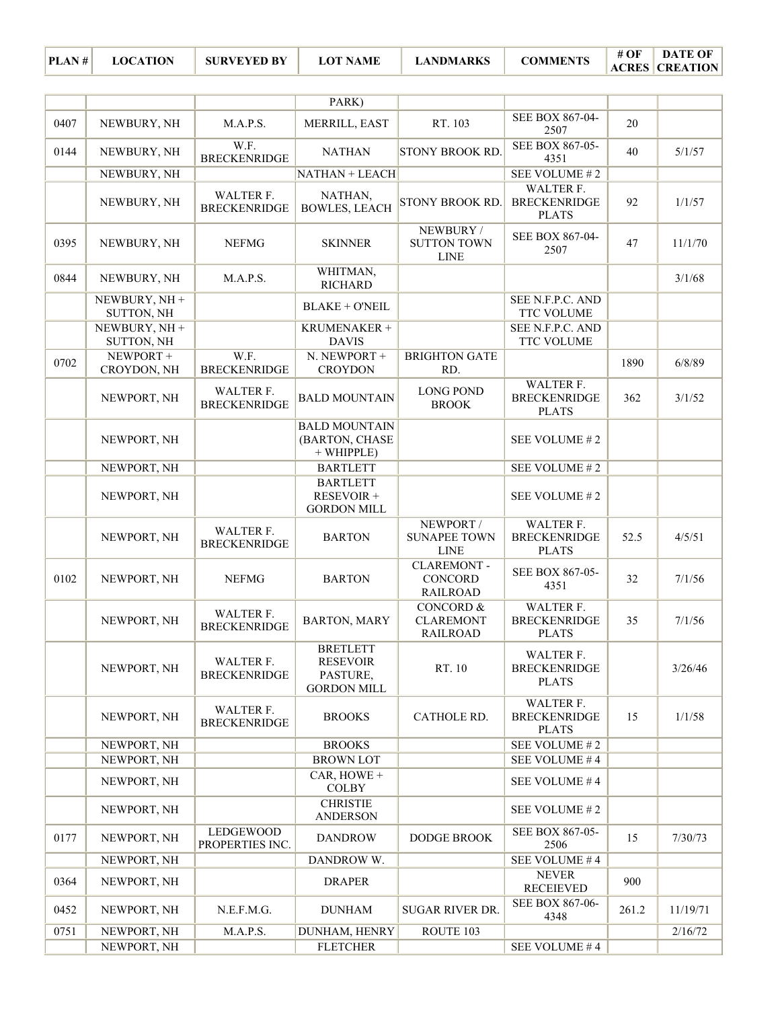|      |                             |                                     | PARK)                                                                |                                                             |                                                         |       |          |
|------|-----------------------------|-------------------------------------|----------------------------------------------------------------------|-------------------------------------------------------------|---------------------------------------------------------|-------|----------|
| 0407 | NEWBURY, NH                 | M.A.P.S.                            | MERRILL, EAST                                                        | RT. 103                                                     | SEE BOX 867-04-<br>2507                                 | 20    |          |
| 0144 | NEWBURY, NH                 | W.F.<br><b>BRECKENRIDGE</b>         | <b>NATHAN</b>                                                        | STONY BROOK RD.                                             | SEE BOX 867-05-<br>4351                                 | 40    | 5/1/57   |
|      | NEWBURY, NH                 |                                     | NATHAN + LEACH                                                       |                                                             | SEE VOLUME #2                                           |       |          |
|      | NEWBURY, NH                 | WALTER F.<br><b>BRECKENRIDGE</b>    | NATHAN,<br><b>BOWLES, LEACH</b>                                      | <b>STONY BROOK RD</b>                                       | WALTER F.<br><b>BRECKENRIDGE</b><br><b>PLATS</b>        | 92    | 1/1/57   |
| 0395 | NEWBURY, NH                 | <b>NEFMG</b>                        | <b>SKINNER</b>                                                       | NEWBURY /<br><b>SUTTON TOWN</b><br><b>LINE</b>              | SEE BOX 867-04-<br>2507                                 | 47    | 11/1/70  |
| 0844 | NEWBURY, NH                 | M.A.P.S.                            | WHITMAN,<br><b>RICHARD</b>                                           |                                                             |                                                         |       | 3/1/68   |
|      | NEWBURY, NH +<br>SUTTON, NH |                                     | <b>BLAKE + O'NEIL</b>                                                |                                                             | SEE N.F.P.C. AND<br><b>TTC VOLUME</b>                   |       |          |
|      | NEWBURY, NH +<br>SUTTON, NH |                                     | KRUMENAKER +<br><b>DAVIS</b>                                         |                                                             | SEE N.F.P.C. AND<br>TTC VOLUME                          |       |          |
| 0702 | NEWPORT +<br>CROYDON, NH    | W.F.<br><b>BRECKENRIDGE</b>         | N. NEWPORT +<br><b>CROYDON</b>                                       | <b>BRIGHTON GATE</b><br>RD.                                 |                                                         | 1890  | 6/8/89   |
|      | NEWPORT, NH                 | WALTER F.<br><b>BRECKENRIDGE</b>    | <b>BALD MOUNTAIN</b>                                                 | <b>LONG POND</b><br><b>BROOK</b>                            | WALTER F.<br><b>BRECKENRIDGE</b><br><b>PLATS</b>        | 362   | 3/1/52   |
|      | NEWPORT, NH                 |                                     | <b>BALD MOUNTAIN</b><br>(BARTON, CHASE<br>$+$ WHIPPLE)               |                                                             | SEE VOLUME #2                                           |       |          |
|      | NEWPORT, NH                 |                                     | <b>BARTLETT</b>                                                      |                                                             | SEE VOLUME #2                                           |       |          |
|      | NEWPORT, NH                 |                                     | <b>BARTLETT</b><br>RESEVOIR +<br><b>GORDON MILL</b>                  |                                                             | SEE VOLUME #2                                           |       |          |
|      | NEWPORT, NH                 | WALTER F.<br><b>BRECKENRIDGE</b>    | <b>BARTON</b>                                                        | NEWPORT /<br><b>SUNAPEE TOWN</b><br><b>LINE</b>             | <b>WALTER F.</b><br><b>BRECKENRIDGE</b><br><b>PLATS</b> | 52.5  | 4/5/51   |
| 0102 | NEWPORT, NH                 | <b>NEFMG</b>                        | <b>BARTON</b>                                                        | <b>CLAREMONT-</b><br><b>CONCORD</b><br><b>RAILROAD</b>      | SEE BOX 867-05-<br>4351                                 | 32    | 7/1/56   |
|      | NEWPORT, NH                 | WALTER F.<br><b>BRECKENRIDGE</b>    | <b>BARTON, MARY</b>                                                  | <b>CONCORD &amp;</b><br><b>CLAREMONT</b><br><b>RAILROAD</b> | WALTER F.<br><b>BRECKENRIDGE</b><br><b>PLATS</b>        | 35    | 7/1/56   |
|      | NEWPORT, NH                 | WALTER F.<br><b>BRECKENRIDGE</b>    | <b>BRETLETT</b><br><b>RESEVOIR</b><br>PASTURE,<br><b>GORDON MILL</b> | RT. 10                                                      | WALTER F.<br><b>BRECKENRIDGE</b><br><b>PLATS</b>        |       | 3/26/46  |
|      | NEWPORT, NH                 | WALTER F.<br><b>BRECKENRIDGE</b>    | <b>BROOKS</b>                                                        | CATHOLE RD.                                                 | WALTER F.<br><b>BRECKENRIDGE</b><br><b>PLATS</b>        | 15    | 1/1/58   |
|      | NEWPORT, NH                 |                                     | <b>BROOKS</b>                                                        |                                                             | SEE VOLUME #2                                           |       |          |
|      | NEWPORT, NH                 |                                     | <b>BROWN LOT</b>                                                     |                                                             | SEE VOLUME #4                                           |       |          |
|      | NEWPORT, NH                 |                                     | CAR, HOWE $+$<br><b>COLBY</b>                                        |                                                             | SEE VOLUME #4                                           |       |          |
|      | NEWPORT, NH                 |                                     | <b>CHRISTIE</b><br><b>ANDERSON</b>                                   |                                                             | SEE VOLUME #2                                           |       |          |
| 0177 | NEWPORT, NH                 | <b>LEDGEWOOD</b><br>PROPERTIES INC. | <b>DANDROW</b>                                                       | DODGE BROOK                                                 | SEE BOX 867-05-<br>2506                                 | 15    | 7/30/73  |
|      | NEWPORT, NH                 |                                     | DANDROW W.                                                           |                                                             | SEE VOLUME #4                                           |       |          |
| 0364 | NEWPORT, NH                 |                                     | <b>DRAPER</b>                                                        |                                                             | <b>NEVER</b><br><b>RECEIEVED</b>                        | 900   |          |
| 0452 | NEWPORT, NH                 | N.E.F.M.G.                          | <b>DUNHAM</b>                                                        | <b>SUGAR RIVER DR.</b>                                      | SEE BOX 867-06-<br>4348                                 | 261.2 | 11/19/71 |
| 0751 | NEWPORT, NH                 | M.A.P.S.                            | DUNHAM, HENRY                                                        | ROUTE 103                                                   |                                                         |       | 2/16/72  |
|      | NEWPORT, NH                 |                                     | <b>FLETCHER</b>                                                      |                                                             | SEE VOLUME #4                                           |       |          |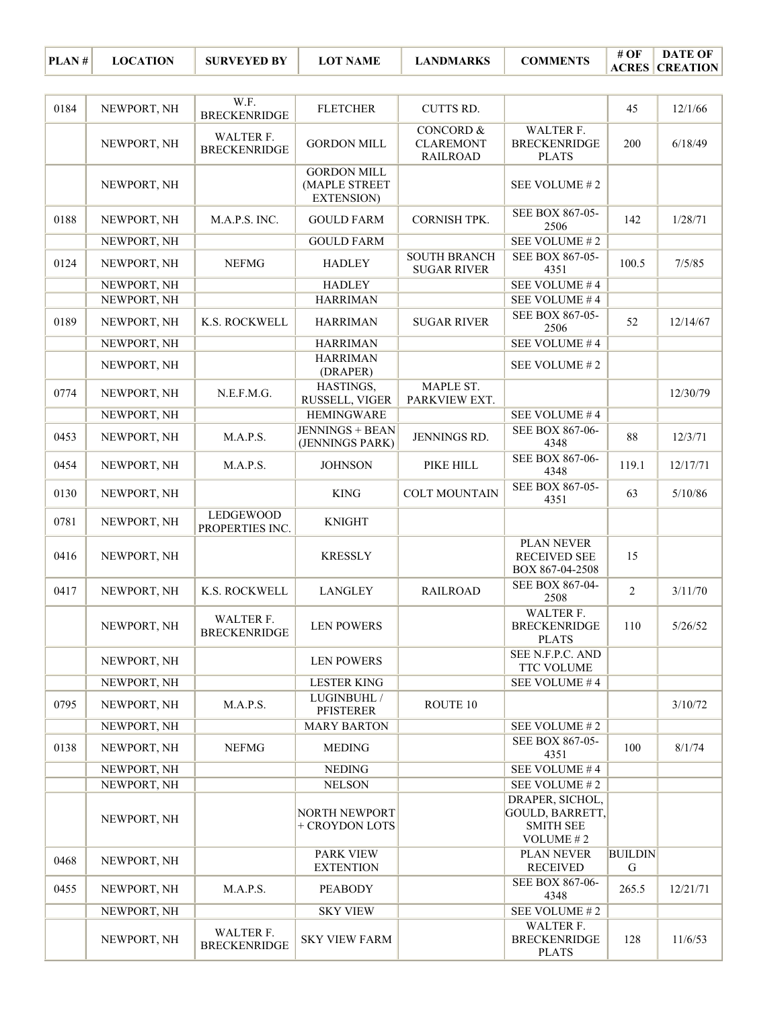| NEWPORT, NH | W.F.<br><b>BRECKENRIDGE</b>                                                                           | <b>FLETCHER</b>                                          | <b>CUTTS RD.</b>                                                                                                                                              |                                                         | 45                                                                                                                                                                                                                                                                               | 12/1/66  |
|-------------|-------------------------------------------------------------------------------------------------------|----------------------------------------------------------|---------------------------------------------------------------------------------------------------------------------------------------------------------------|---------------------------------------------------------|----------------------------------------------------------------------------------------------------------------------------------------------------------------------------------------------------------------------------------------------------------------------------------|----------|
| NEWPORT, NH | WALTER F.<br><b>BRECKENRIDGE</b>                                                                      | <b>GORDON MILL</b>                                       | <b>CONCORD &amp;</b><br><b>CLAREMONT</b><br><b>RAILROAD</b>                                                                                                   | WALTER F.<br><b>BRECKENRIDGE</b><br><b>PLATS</b>        | 200                                                                                                                                                                                                                                                                              | 6/18/49  |
| NEWPORT, NH |                                                                                                       | <b>GORDON MILL</b><br>(MAPLE STREET<br><b>EXTENSION)</b> |                                                                                                                                                               | SEE VOLUME #2                                           |                                                                                                                                                                                                                                                                                  |          |
| NEWPORT, NH | M.A.P.S. INC.                                                                                         | <b>GOULD FARM</b>                                        | <b>CORNISH TPK.</b>                                                                                                                                           | SEE BOX 867-05-<br>2506                                 | 142                                                                                                                                                                                                                                                                              | 1/28/71  |
| NEWPORT, NH |                                                                                                       | <b>GOULD FARM</b>                                        |                                                                                                                                                               | SEE VOLUME #2                                           |                                                                                                                                                                                                                                                                                  |          |
| NEWPORT, NH | <b>NEFMG</b>                                                                                          | <b>HADLEY</b>                                            | <b>SOUTH BRANCH</b><br><b>SUGAR RIVER</b>                                                                                                                     | 4351                                                    | 100.5                                                                                                                                                                                                                                                                            | 7/5/85   |
|             |                                                                                                       |                                                          |                                                                                                                                                               |                                                         |                                                                                                                                                                                                                                                                                  |          |
|             |                                                                                                       |                                                          |                                                                                                                                                               |                                                         |                                                                                                                                                                                                                                                                                  |          |
| NEWPORT, NH | K.S. ROCKWELL                                                                                         | <b>HARRIMAN</b>                                          | <b>SUGAR RIVER</b>                                                                                                                                            | 2506                                                    | 52                                                                                                                                                                                                                                                                               | 12/14/67 |
|             |                                                                                                       | <b>HARRIMAN</b>                                          |                                                                                                                                                               | SEE VOLUME #4                                           |                                                                                                                                                                                                                                                                                  |          |
| NEWPORT, NH |                                                                                                       | (DRAPER)                                                 |                                                                                                                                                               | SEE VOLUME #2                                           |                                                                                                                                                                                                                                                                                  |          |
| NEWPORT, NH | N.E.F.M.G.                                                                                            | RUSSELL, VIGER                                           | PARKVIEW EXT.                                                                                                                                                 |                                                         |                                                                                                                                                                                                                                                                                  | 12/30/79 |
| NEWPORT, NH |                                                                                                       | <b>HEMINGWARE</b>                                        |                                                                                                                                                               | SEE VOLUME #4                                           |                                                                                                                                                                                                                                                                                  |          |
| NEWPORT, NH | M.A.P.S.                                                                                              | <b>JENNINGS + BEAN</b><br>(JENNINGS PARK)                | JENNINGS RD.                                                                                                                                                  | SEE BOX 867-06-<br>4348                                 | 88                                                                                                                                                                                                                                                                               | 12/3/71  |
| NEWPORT, NH | M.A.P.S.                                                                                              | <b>JOHNSON</b>                                           | PIKE HILL                                                                                                                                                     | 4348                                                    | 119.1                                                                                                                                                                                                                                                                            | 12/17/71 |
| NEWPORT, NH |                                                                                                       | <b>KING</b>                                              | <b>COLT MOUNTAIN</b>                                                                                                                                          | 4351                                                    | 63                                                                                                                                                                                                                                                                               | 5/10/86  |
| NEWPORT, NH | PROPERTIES INC.                                                                                       | <b>KNIGHT</b>                                            |                                                                                                                                                               |                                                         |                                                                                                                                                                                                                                                                                  |          |
| NEWPORT, NH |                                                                                                       | <b>KRESSLY</b>                                           |                                                                                                                                                               | <b>RECEIVED SEE</b><br>BOX 867-04-2508                  | 15                                                                                                                                                                                                                                                                               |          |
| NEWPORT, NH | K.S. ROCKWELL                                                                                         | <b>LANGLEY</b>                                           | <b>RAILROAD</b>                                                                                                                                               | 2508                                                    | $\overline{2}$                                                                                                                                                                                                                                                                   | 3/11/70  |
| NEWPORT, NH | WALTER F.<br><b>BRECKENRIDGE</b>                                                                      | <b>LEN POWERS</b>                                        |                                                                                                                                                               | WALTER F.<br><b>BRECKENRIDGE</b><br><b>PLATS</b>        | 110                                                                                                                                                                                                                                                                              | 5/26/52  |
| NEWPORT, NH |                                                                                                       | <b>LEN POWERS</b>                                        |                                                                                                                                                               | TTC VOLUME                                              |                                                                                                                                                                                                                                                                                  |          |
|             |                                                                                                       |                                                          |                                                                                                                                                               |                                                         |                                                                                                                                                                                                                                                                                  |          |
| NEWPORT, NH | M.A.P.S.                                                                                              | <b>PFISTERER</b>                                         | ROUTE 10                                                                                                                                                      |                                                         |                                                                                                                                                                                                                                                                                  | 3/10/72  |
|             |                                                                                                       |                                                          |                                                                                                                                                               |                                                         |                                                                                                                                                                                                                                                                                  |          |
| NEWPORT, NH | <b>NEFMG</b>                                                                                          | <b>MEDING</b>                                            |                                                                                                                                                               | 4351                                                    | 100                                                                                                                                                                                                                                                                              | 8/1/74   |
|             |                                                                                                       |                                                          |                                                                                                                                                               |                                                         |                                                                                                                                                                                                                                                                                  |          |
|             |                                                                                                       |                                                          |                                                                                                                                                               |                                                         |                                                                                                                                                                                                                                                                                  |          |
| NEWPORT, NH |                                                                                                       | NORTH NEWPORT<br>+ CROYDON LOTS                          |                                                                                                                                                               | <b>GOULD, BARRETT,</b><br><b>SMITH SEE</b><br>VOLUME #2 |                                                                                                                                                                                                                                                                                  |          |
| NEWPORT, NH |                                                                                                       | PARK VIEW<br><b>EXTENTION</b>                            |                                                                                                                                                               | PLAN NEVER<br><b>RECEIVED</b>                           | <b>BUILDIN</b><br>G                                                                                                                                                                                                                                                              |          |
| NEWPORT, NH | M.A.P.S.                                                                                              | <b>PEABODY</b>                                           |                                                                                                                                                               | SEE BOX 867-06-<br>4348                                 | 265.5                                                                                                                                                                                                                                                                            | 12/21/71 |
| NEWPORT, NH |                                                                                                       | <b>SKY VIEW</b>                                          |                                                                                                                                                               | SEE VOLUME #2                                           |                                                                                                                                                                                                                                                                                  |          |
| NEWPORT, NH | WALTER F.<br><b>BRECKENRIDGE</b>                                                                      | <b>SKY VIEW FARM</b>                                     |                                                                                                                                                               | WALTER F.<br><b>BRECKENRIDGE</b><br><b>PLATS</b>        | 128                                                                                                                                                                                                                                                                              | 11/6/53  |
|             | NEWPORT, NH<br>NEWPORT, NH<br>NEWPORT, NH<br>NEWPORT, NH<br>NEWPORT, NH<br>NEWPORT, NH<br>NEWPORT, NH | <b>LEDGEWOOD</b>                                         | <b>HADLEY</b><br><b>HARRIMAN</b><br><b>HARRIMAN</b><br>HASTINGS,<br><b>LESTER KING</b><br>LUGINBUHL /<br><b>MARY BARTON</b><br><b>NEDING</b><br><b>NELSON</b> | MAPLE ST.                                               | SEE BOX 867-05-<br>SEE VOLUME #4<br>SEE VOLUME #4<br>SEE BOX 867-05-<br>SEE BOX 867-06-<br>SEE BOX 867-05-<br><b>PLAN NEVER</b><br>SEE BOX 867-04-<br>SEE N.F.P.C. AND<br>SEE VOLUME #4<br>SEE VOLUME #2<br>SEE BOX 867-05-<br>SEE VOLUME #4<br>SEE VOLUME #2<br>DRAPER, SICHOL, |          |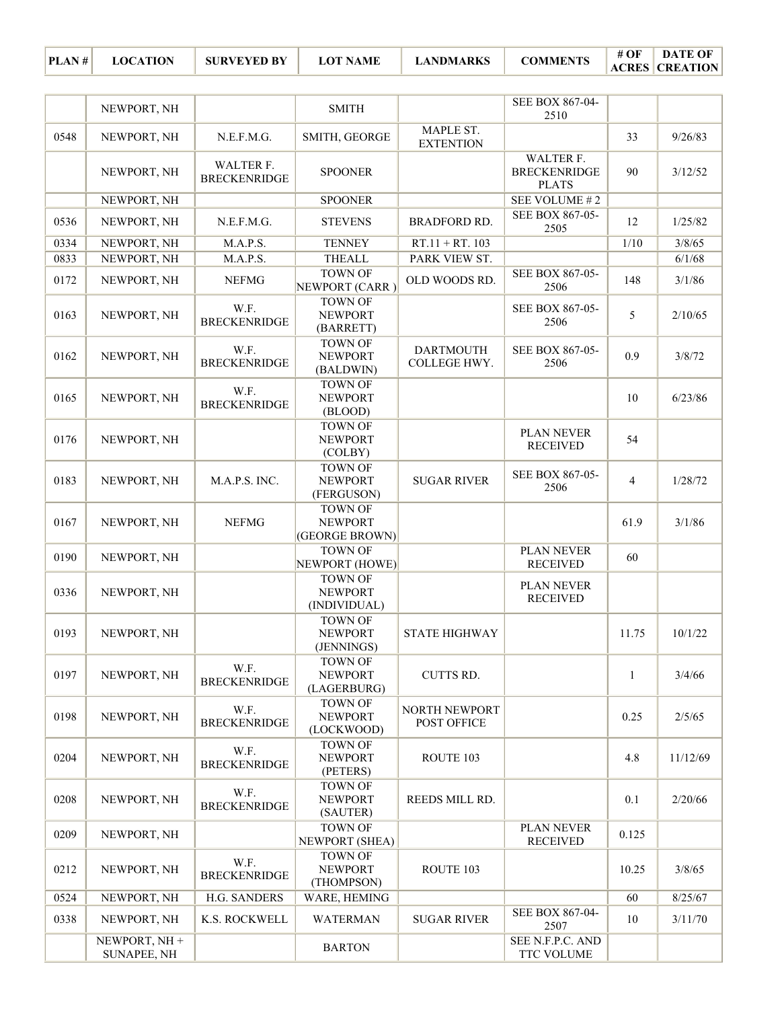| PLAN# | <b>LOCATION</b> | <b>SURVEYED BY</b> | <b>LOT NAME</b> | <b>LANDMARKS</b> | <b>COMMENTS</b> | $\#$ OF $\parallel$ DATE OF |
|-------|-----------------|--------------------|-----------------|------------------|-----------------|-----------------------------|
|       |                 |                    |                 |                  |                 | <b>ACRES CREATION</b>       |

|      | NEWPORT, NH                         |                                  | <b>SMITH</b>                                       |                                  | SEE BOX 867-04-<br>2510                          |                |          |
|------|-------------------------------------|----------------------------------|----------------------------------------------------|----------------------------------|--------------------------------------------------|----------------|----------|
| 0548 | NEWPORT, NH                         | N.E.F.M.G.                       | SMITH, GEORGE                                      | MAPLE ST.<br><b>EXTENTION</b>    |                                                  | 33             | 9/26/83  |
|      | NEWPORT, NH                         | WALTER F.<br><b>BRECKENRIDGE</b> | <b>SPOONER</b>                                     |                                  | WALTER F.<br><b>BRECKENRIDGE</b><br><b>PLATS</b> | 90             | 3/12/52  |
|      | NEWPORT, NH                         |                                  | <b>SPOONER</b>                                     |                                  | SEE VOLUME #2                                    |                |          |
| 0536 | NEWPORT, NH                         | N.E.F.M.G.                       | <b>STEVENS</b>                                     | <b>BRADFORD RD.</b>              | SEE BOX 867-05-<br>2505                          | 12             | 1/25/82  |
| 0334 | NEWPORT, NH                         | M.A.P.S.                         | <b>TENNEY</b>                                      | $RT.11 + RT.103$                 |                                                  | 1/10           | 3/8/65   |
| 0833 | NEWPORT, NH                         | M.A.P.S.                         | <b>THEALL</b>                                      | PARK VIEW ST.                    |                                                  |                | 6/1/68   |
| 0172 | NEWPORT, NH                         | <b>NEFMG</b>                     | <b>TOWN OF</b><br>NEWPORT (CARR)                   | OLD WOODS RD.                    | SEE BOX 867-05-<br>2506                          | 148            | 3/1/86   |
| 0163 | NEWPORT, NH                         | W.F.<br><b>BRECKENRIDGE</b>      | <b>TOWN OF</b><br><b>NEWPORT</b><br>(BARRETT)      |                                  | SEE BOX 867-05-<br>2506                          | 5              | 2/10/65  |
| 0162 | NEWPORT, NH                         | W.F.<br><b>BRECKENRIDGE</b>      | <b>TOWN OF</b><br><b>NEWPORT</b><br>(BALDWIN)      | <b>DARTMOUTH</b><br>COLLEGE HWY. | SEE BOX 867-05-<br>2506                          | 0.9            | 3/8/72   |
| 0165 | NEWPORT, NH                         | W.F.<br><b>BRECKENRIDGE</b>      | <b>TOWN OF</b><br><b>NEWPORT</b><br>(BLOOD)        |                                  |                                                  | 10             | 6/23/86  |
| 0176 | NEWPORT, NH                         |                                  | <b>TOWN OF</b><br><b>NEWPORT</b><br>(COLBY)        |                                  | PLAN NEVER<br><b>RECEIVED</b>                    | 54             |          |
| 0183 | NEWPORT, NH                         | M.A.P.S. INC.                    | <b>TOWN OF</b><br><b>NEWPORT</b><br>(FERGUSON)     | <b>SUGAR RIVER</b>               | SEE BOX 867-05-<br>2506                          | $\overline{4}$ | 1/28/72  |
| 0167 | NEWPORT, NH                         | <b>NEFMG</b>                     | <b>TOWN OF</b><br><b>NEWPORT</b><br>(GEORGE BROWN) |                                  |                                                  | 61.9           | 3/1/86   |
| 0190 | NEWPORT, NH                         |                                  | <b>TOWN OF</b><br>NEWPORT (HOWE)                   |                                  | PLAN NEVER<br><b>RECEIVED</b>                    | 60             |          |
| 0336 | NEWPORT, NH                         |                                  | <b>TOWN OF</b><br><b>NEWPORT</b><br>(INDIVIDUAL)   |                                  | PLAN NEVER<br><b>RECEIVED</b>                    |                |          |
| 0193 | NEWPORT, NH                         |                                  | <b>TOWN OF</b><br><b>NEWPORT</b><br>(JENNINGS)     | <b>STATE HIGHWAY</b>             |                                                  | 11.75          | 10/1/22  |
| 0197 | NEWPORT, NH                         | W.F.<br><b>BRECKENRIDGE</b>      | TOWN OF<br><b>NEWPORT</b><br>(LAGERBURG)           | CUTTS RD.                        |                                                  | 1              | 3/4/66   |
| 0198 | NEWPORT, NH                         | W.F.<br><b>BRECKENRIDGE</b>      | <b>TOWN OF</b><br><b>NEWPORT</b><br>(LOCKWOOD)     | NORTH NEWPORT<br>POST OFFICE     |                                                  | 0.25           | 2/5/65   |
| 0204 | NEWPORT, NH                         | W.F.<br><b>BRECKENRIDGE</b>      | <b>TOWN OF</b><br><b>NEWPORT</b><br>(PETERS)       | ROUTE 103                        |                                                  | 4.8            | 11/12/69 |
| 0208 | NEWPORT, NH                         | W.F.<br><b>BRECKENRIDGE</b>      | <b>TOWN OF</b><br><b>NEWPORT</b><br>(SAUTER)       | REEDS MILL RD.                   |                                                  | 0.1            | 2/20/66  |
| 0209 | NEWPORT, NH                         |                                  | <b>TOWN OF</b><br>NEWPORT (SHEA)                   |                                  | PLAN NEVER<br><b>RECEIVED</b>                    | 0.125          |          |
| 0212 | NEWPORT, NH                         | W.F.<br><b>BRECKENRIDGE</b>      | <b>TOWN OF</b><br><b>NEWPORT</b><br>(THOMPSON)     | ROUTE 103                        |                                                  | 10.25          | 3/8/65   |
| 0524 | NEWPORT, NH                         | H.G. SANDERS                     | WARE, HEMING                                       |                                  |                                                  | 60             | 8/25/67  |
| 0338 | NEWPORT, NH                         | K.S. ROCKWELL                    | <b>WATERMAN</b>                                    | <b>SUGAR RIVER</b>               | SEE BOX 867-04-<br>2507                          | 10             | 3/11/70  |
|      | NEWPORT, NH +<br><b>SUNAPEE, NH</b> |                                  | <b>BARTON</b>                                      |                                  | SEE N.F.P.C. AND<br>TTC VOLUME                   |                |          |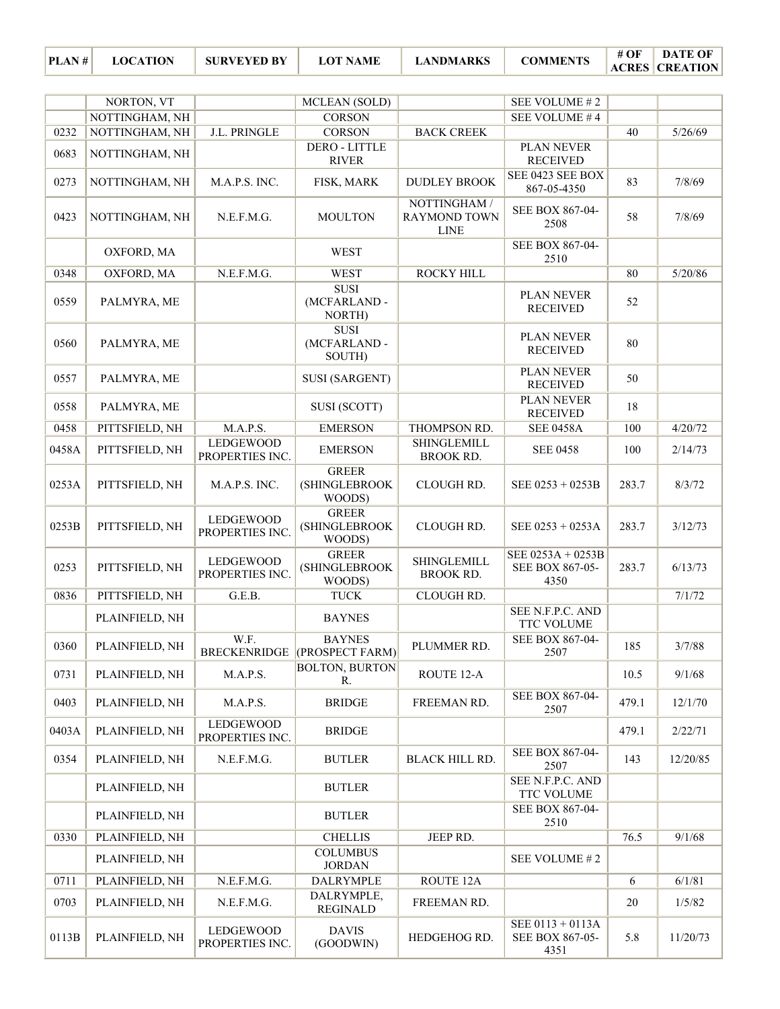|       | NORTON, VT     |                                     | MCLEAN (SOLD)                                   |                                                    | SEE VOLUME #2                                |       |          |
|-------|----------------|-------------------------------------|-------------------------------------------------|----------------------------------------------------|----------------------------------------------|-------|----------|
|       | NOTTINGHAM, NH |                                     | <b>CORSON</b>                                   |                                                    | SEE VOLUME #4                                |       |          |
| 0232  | NOTTINGHAM, NH | J.L. PRINGLE                        | <b>CORSON</b>                                   | <b>BACK CREEK</b>                                  |                                              | 40    | 5/26/69  |
| 0683  | NOTTINGHAM, NH |                                     | <b>DERO - LITTLE</b><br><b>RIVER</b>            |                                                    | PLAN NEVER<br><b>RECEIVED</b>                |       |          |
| 0273  | NOTTINGHAM, NH | M.A.P.S. INC.                       | FISK, MARK                                      | <b>DUDLEY BROOK</b>                                | SEE 0423 SEE BOX<br>867-05-4350              | 83    | 7/8/69   |
| 0423  | NOTTINGHAM, NH | N.E.F.M.G.                          | <b>MOULTON</b>                                  | NOTTINGHAM /<br><b>RAYMOND TOWN</b><br><b>LINE</b> | SEE BOX 867-04-<br>2508                      | 58    | 7/8/69   |
|       | OXFORD, MA     |                                     | <b>WEST</b>                                     |                                                    | SEE BOX 867-04-<br>2510                      |       |          |
| 0348  | OXFORD, MA     | N.E.F.M.G.                          | <b>WEST</b>                                     | <b>ROCKY HILL</b>                                  |                                              | 80    | 5/20/86  |
| 0559  | PALMYRA, ME    |                                     | <b>SUSI</b><br>(MCFARLAND-<br>NORTH)            |                                                    | PLAN NEVER<br><b>RECEIVED</b>                | 52    |          |
| 0560  | PALMYRA, ME    |                                     | <b>SUSI</b><br>(MCFARLAND-<br>SOUTH)            |                                                    | <b>PLAN NEVER</b><br><b>RECEIVED</b>         | 80    |          |
| 0557  | PALMYRA, ME    |                                     | <b>SUSI (SARGENT)</b>                           |                                                    | PLAN NEVER<br><b>RECEIVED</b>                | 50    |          |
| 0558  | PALMYRA, ME    |                                     | SUSI (SCOTT)                                    |                                                    | PLAN NEVER<br><b>RECEIVED</b>                | 18    |          |
| 0458  | PITTSFIELD, NH | M.A.P.S.                            | <b>EMERSON</b>                                  | THOMPSON RD.                                       | <b>SEE 0458A</b>                             | 100   | 4/20/72  |
| 0458A | PITTSFIELD, NH | <b>LEDGEWOOD</b><br>PROPERTIES INC. | <b>EMERSON</b>                                  | <b>SHINGLEMILL</b><br><b>BROOK RD.</b>             | <b>SEE 0458</b>                              | 100   | 2/14/73  |
| 0253A | PITTSFIELD, NH | M.A.P.S. INC.                       | <b>GREER</b><br><b>(SHINGLEBROOK</b><br>WOODS)  | CLOUGH RD.                                         | SEE 0253 + 0253B                             | 283.7 | 8/3/72   |
| 0253B | PITTSFIELD, NH | LEDGEWOOD<br>PROPERTIES INC.        | <b>GREER</b><br><b>(SHINGLEBROOK)</b><br>WOODS) | CLOUGH RD.                                         | SEE 0253 + 0253A                             | 283.7 | 3/12/73  |
| 0253  | PITTSFIELD, NH | LEDGEWOOD<br>PROPERTIES INC.        | <b>GREER</b><br><b>(SHINGLEBROOK</b><br>WOODS)  | <b>SHINGLEMILL</b><br><b>BROOK RD.</b>             | SEE 0253A + 0253B<br>SEE BOX 867-05-<br>4350 | 283.7 | 6/13/73  |
| 0836  | PITTSFIELD, NH | G.E.B.                              | <b>TUCK</b>                                     | CLOUGH RD.                                         |                                              |       | 7/1/72   |
|       | PLAINFIELD, NH |                                     | <b>BAYNES</b>                                   |                                                    | SEE N.F.P.C. AND<br>TTC VOLUME               |       |          |
| 0360  | PLAINFIELD, NH | W.F.                                | <b>BAYNES</b><br>BRECKENRIDGE (PROSPECT FARM)   | PLUMMER RD.                                        | SEE BOX 867-04-<br>2507                      | 185   | 3/7/88   |
| 0731  | PLAINFIELD, NH | M.A.P.S.                            | BOLTON, BURTON<br>R.                            | ROUTE 12-A                                         |                                              | 10.5  | 9/1/68   |
| 0403  | PLAINFIELD, NH | M.A.P.S.                            | <b>BRIDGE</b>                                   | FREEMAN RD.                                        | SEE BOX 867-04-<br>2507                      | 479.1 | 12/1/70  |
| 0403A | PLAINFIELD, NH | <b>LEDGEWOOD</b><br>PROPERTIES INC. | <b>BRIDGE</b>                                   |                                                    |                                              | 479.1 | 2/22/71  |
| 0354  | PLAINFIELD, NH | N.E.F.M.G.                          | <b>BUTLER</b>                                   | <b>BLACK HILL RD.</b>                              | SEE BOX 867-04-<br>2507                      | 143   | 12/20/85 |
|       | PLAINFIELD, NH |                                     | <b>BUTLER</b>                                   |                                                    | SEE N.F.P.C. AND<br>TTC VOLUME               |       |          |
|       | PLAINFIELD, NH |                                     | <b>BUTLER</b>                                   |                                                    | SEE BOX 867-04-<br>2510                      |       |          |
| 0330  | PLAINFIELD, NH |                                     | <b>CHELLIS</b>                                  | JEEP RD.                                           |                                              | 76.5  | 9/1/68   |
|       | PLAINFIELD, NH |                                     | <b>COLUMBUS</b><br><b>JORDAN</b>                |                                                    | SEE VOLUME #2                                |       |          |
| 0711  | PLAINFIELD, NH | N.E.F.M.G.                          | DALRYMPLE                                       | ROUTE 12A                                          |                                              | 6     | 6/1/81   |
| 0703  | PLAINFIELD, NH | N.E.F.M.G.                          | DALRYMPLE,<br><b>REGINALD</b>                   | FREEMAN RD.                                        |                                              | 20    | 1/5/82   |
| 0113B | PLAINFIELD, NH | LEDGEWOOD<br>PROPERTIES INC.        | <b>DAVIS</b><br>(GOODWIN)                       | HEDGEHOG RD.                                       | SEE 0113 + 0113A<br>SEE BOX 867-05-<br>4351  | 5.8   | 11/20/73 |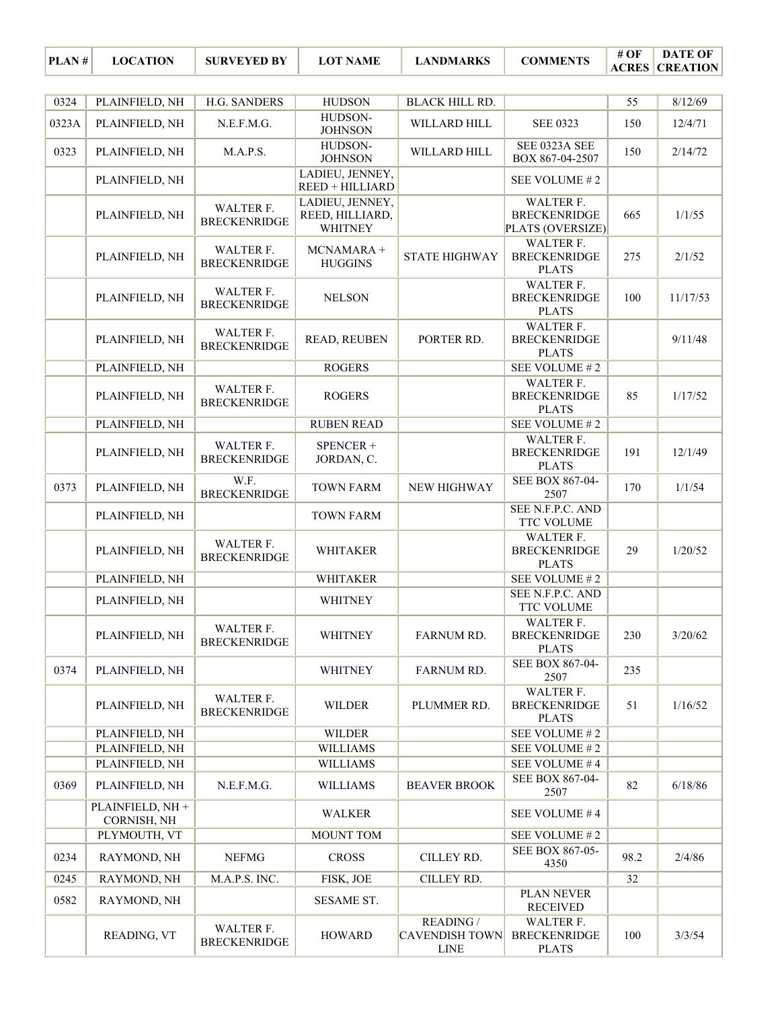| PLAN# | <b>LOCATION</b>                 | <b>SURVEYED BY</b>               | <b>LOT NAME</b>                               | <b>LANDMARKS</b>                                  | <b>COMMENTS</b>                                         | #OF             | <b>DATE OF</b><br><b>ACRES CREATION</b> |
|-------|---------------------------------|----------------------------------|-----------------------------------------------|---------------------------------------------------|---------------------------------------------------------|-----------------|-----------------------------------------|
|       |                                 |                                  |                                               |                                                   |                                                         |                 |                                         |
| 0324  | PLAINFIELD, NH                  | H.G. SANDERS                     | <b>HUDSON</b><br>HUDSON-                      | <b>BLACK HILL RD.</b>                             |                                                         | $\overline{55}$ | 8/12/69                                 |
| 0323A | PLAINFIELD, NH                  | N.E.F.M.G.                       | <b>JOHNSON</b>                                | WILLARD HILL                                      | <b>SEE 0323</b>                                         | 150             | 12/4/71                                 |
| 0323  | PLAINFIELD, NH                  | M.A.P.S.                         | HUDSON-<br><b>JOHNSON</b>                     | WILLARD HILL                                      | SEE 0323A SEE<br>BOX 867-04-2507                        | 150             | 2/14/72                                 |
|       | PLAINFIELD, NH                  |                                  | LADIEU, JENNEY,<br>REED + HILLIARD            |                                                   | SEE VOLUME #2                                           |                 |                                         |
|       | PLAINFIELD, NH                  | WALTER F.<br><b>BRECKENRIDGE</b> | LADIEU, JENNEY,<br>REED, HILLIARD,<br>WHITNEY |                                                   | WALTER F.<br><b>BRECKENRIDGE</b><br>PLATS (OVERSIZE)    | 665             | 1/1/55                                  |
|       | PLAINFIELD, NH                  | WALTER F.<br><b>BRECKENRIDGE</b> | MCNAMARA +<br><b>HUGGINS</b>                  | <b>STATE HIGHWAY</b>                              | WALTER F.<br><b>BRECKENRIDGE</b><br><b>PLATS</b>        | 275             | 2/1/52                                  |
|       | PLAINFIELD, NH                  | WALTER F.<br><b>BRECKENRIDGE</b> | <b>NELSON</b>                                 |                                                   | WALTER F.<br><b>BRECKENRIDGE</b><br><b>PLATS</b>        | 100             | 11/17/53                                |
|       | PLAINFIELD, NH                  | WALTER F.<br><b>BRECKENRIDGE</b> | READ, REUBEN                                  | PORTER RD.                                        | WALTER F.<br><b>BRECKENRIDGE</b><br><b>PLATS</b>        |                 | 9/11/48                                 |
|       | PLAINFIELD, NH                  |                                  | <b>ROGERS</b>                                 |                                                   | SEE VOLUME #2                                           |                 |                                         |
|       | PLAINFIELD, NH                  | WALTER F.<br><b>BRECKENRIDGE</b> | <b>ROGERS</b>                                 |                                                   | <b>WALTER F.</b><br><b>BRECKENRIDGE</b><br><b>PLATS</b> | 85              | 1/17/52                                 |
|       | PLAINFIELD, NH                  |                                  | <b>RUBEN READ</b>                             |                                                   | SEE VOLUME #2                                           |                 |                                         |
|       | PLAINFIELD, NH                  | WALTER F.<br><b>BRECKENRIDGE</b> | SPENCER +<br>JORDAN, C.                       |                                                   | WALTER F.<br><b>BRECKENRIDGE</b><br><b>PLATS</b>        | 191             | 12/1/49                                 |
| 0373  | PLAINFIELD, NH                  | W.F.<br><b>BRECKENRIDGE</b>      | <b>TOWN FARM</b>                              | <b>NEW HIGHWAY</b>                                | SEE BOX 867-04-<br>2507                                 | 170             | 1/1/54                                  |
|       | PLAINFIELD, NH                  |                                  | <b>TOWN FARM</b>                              |                                                   | SEE N.F.P.C. AND<br><b>TTC VOLUME</b>                   |                 |                                         |
|       | PLAINFIELD, NH                  | WALTER F.<br><b>BRECKENRIDGE</b> | <b>WHITAKER</b>                               |                                                   | WALTER F.<br><b>BRECKENRIDGE</b><br><b>PLATS</b>        | 29              | 1/20/52                                 |
|       | PLAINFIELD, NH                  |                                  | WHITAKER                                      |                                                   | SEE VOLUME #2                                           |                 |                                         |
|       | PLAINFIELD, NH                  |                                  | <b>WHITNEY</b>                                |                                                   | SEE N.F.P.C. AND<br><b>TTC VOLUME</b>                   |                 |                                         |
|       | PLAINFIELD, NH                  | WALTER F.<br><b>BRECKENRIDGE</b> | <b>WHITNEY</b>                                | <b>FARNUM RD.</b>                                 | WALTER F.<br><b>BRECKENRIDGE</b><br><b>PLATS</b>        | 230             | 3/20/62                                 |
| 0374  | PLAINFIELD, NH                  |                                  | <b>WHITNEY</b>                                | FARNUM RD.                                        | SEE BOX 867-04-<br>2507                                 | 235             |                                         |
|       | PLAINFIELD, NH                  | WALTER F.<br><b>BRECKENRIDGE</b> | <b>WILDER</b>                                 | PLUMMER RD.                                       | <b>WALTER F.</b><br><b>BRECKENRIDGE</b><br><b>PLATS</b> | 51              | 1/16/52                                 |
|       | PLAINFIELD, NH                  |                                  | <b>WILDER</b>                                 |                                                   | SEE VOLUME #2                                           |                 |                                         |
|       | PLAINFIELD, NH                  |                                  | <b>WILLIAMS</b>                               |                                                   | SEE VOLUME #2                                           |                 |                                         |
|       | PLAINFIELD, NH                  |                                  | <b>WILLIAMS</b>                               |                                                   | SEE VOLUME #4                                           |                 |                                         |
| 0369  | PLAINFIELD, NH                  | N.E.F.M.G.                       | <b>WILLIAMS</b>                               | <b>BEAVER BROOK</b>                               | SEE BOX 867-04-<br>2507                                 | 82              | 6/18/86                                 |
|       | PLAINFIELD, NH +<br>CORNISH, NH |                                  | <b>WALKER</b>                                 |                                                   | SEE VOLUME #4                                           |                 |                                         |
|       | PLYMOUTH, VT                    |                                  | <b>MOUNT TOM</b>                              |                                                   | SEE VOLUME #2                                           |                 |                                         |
| 0234  | RAYMOND, NH                     | <b>NEFMG</b>                     | <b>CROSS</b>                                  | CILLEY RD.                                        | SEE BOX 867-05-<br>4350                                 | 98.2            | 2/4/86                                  |
| 0245  | RAYMOND, NH                     | M.A.P.S. INC.                    | FISK, JOE                                     | CILLEY RD.                                        |                                                         | 32              |                                         |
| 0582  | RAYMOND, NH                     |                                  | <b>SESAME ST.</b>                             |                                                   | <b>PLAN NEVER</b><br><b>RECEIVED</b>                    |                 |                                         |
|       | READING, VT                     | WALTER F.<br><b>BRECKENRIDGE</b> | <b>HOWARD</b>                                 | READING /<br><b>CAVENDISH TOWN</b><br><b>LINE</b> | WALTER F.<br><b>BRECKENRIDGE</b><br><b>PLATS</b>        | 100             | 3/3/54                                  |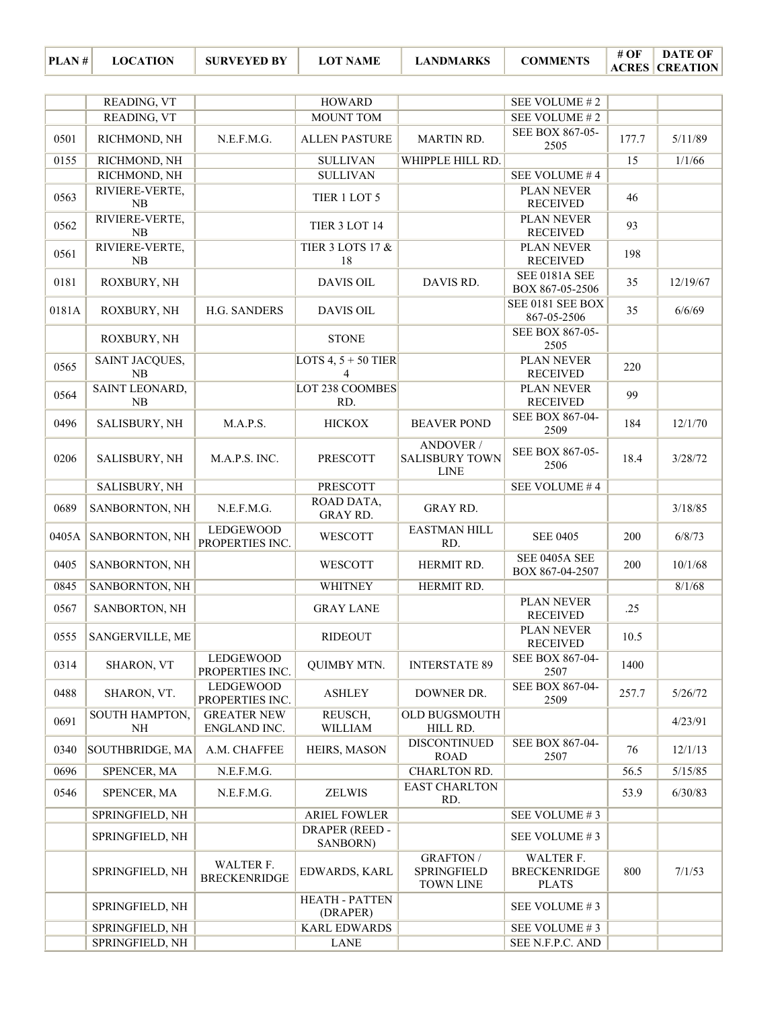| PLAN# | <b>LOCATION</b> | <b>SURVEYED BY</b> | <b>LOT NAME</b> | <b>LANDMARKS</b> | <b>COMMENTS</b> | # OF | <b>DATE OF</b><br><b>ACRES CREATION</b> |
|-------|-----------------|--------------------|-----------------|------------------|-----------------|------|-----------------------------------------|
|-------|-----------------|--------------------|-----------------|------------------|-----------------|------|-----------------------------------------|

|       | READING, VT          |                                     | <b>HOWARD</b>                     |                                                    | SEE VOLUME #2                                    |       |          |
|-------|----------------------|-------------------------------------|-----------------------------------|----------------------------------------------------|--------------------------------------------------|-------|----------|
|       | READING, VT          |                                     | <b>MOUNT TOM</b>                  |                                                    | SEE VOLUME #2                                    |       |          |
| 0501  | RICHMOND, NH         | N.E.F.M.G.                          | <b>ALLEN PASTURE</b>              | <b>MARTIN RD.</b>                                  | SEE BOX 867-05-<br>2505                          | 177.7 | 5/11/89  |
| 0155  | RICHMOND, NH         |                                     | <b>SULLIVAN</b>                   | WHIPPLE HILL RD.                                   |                                                  | 15    | 1/1/66   |
|       | RICHMOND, NH         |                                     | <b>SULLIVAN</b>                   |                                                    | SEE VOLUME #4                                    |       |          |
| 0563  | RIVIERE-VERTE,<br>NB |                                     | TIER 1 LOT 5                      |                                                    | PLAN NEVER<br><b>RECEIVED</b>                    | 46    |          |
| 0562  | RIVIERE-VERTE,<br>NB |                                     | TIER 3 LOT 14                     |                                                    | PLAN NEVER<br><b>RECEIVED</b>                    | 93    |          |
| 0561  | RIVIERE-VERTE,<br>NB |                                     | <b>TIER 3 LOTS 17 &amp;</b><br>18 |                                                    | PLAN NEVER<br><b>RECEIVED</b>                    | 198   |          |
| 0181  | ROXBURY, NH          |                                     | <b>DAVIS OIL</b>                  | DAVIS RD.                                          | <b>SEE 0181A SEE</b><br>BOX 867-05-2506          | 35    | 12/19/67 |
| 0181A | ROXBURY, NH          | H.G. SANDERS                        | <b>DAVIS OIL</b>                  |                                                    | SEE 0181 SEE BOX<br>867-05-2506                  | 35    | 6/6/69   |
|       | ROXBURY, NH          |                                     | <b>STONE</b>                      |                                                    | SEE BOX 867-05-<br>2505                          |       |          |
| 0565  | SAINT JACQUES,<br>NB |                                     | LOTS 4, $5 + 50$ TIER<br>4        |                                                    | PLAN NEVER<br><b>RECEIVED</b>                    | 220   |          |
| 0564  | SAINT LEONARD,<br>NB |                                     | LOT 238 COOMBES<br>RD.            |                                                    | PLAN NEVER<br><b>RECEIVED</b>                    | 99    |          |
| 0496  | SALISBURY, NH        | M.A.P.S.                            | <b>HICKOX</b>                     | <b>BEAVER POND</b>                                 | SEE BOX 867-04-<br>2509                          | 184   | 12/1/70  |
| 0206  | SALISBURY, NH        | M.A.P.S. INC.                       | <b>PRESCOTT</b>                   | ANDOVER /<br><b>SALISBURY TOWN</b><br><b>LINE</b>  | SEE BOX 867-05-<br>2506                          | 18.4  | 3/28/72  |
|       | SALISBURY, NH        |                                     | <b>PRESCOTT</b>                   |                                                    | SEE VOLUME #4                                    |       |          |
| 0689  | SANBORNTON, NH       | N.E.F.M.G.                          | ROAD DATA,<br><b>GRAY RD.</b>     | <b>GRAY RD.</b>                                    |                                                  |       | 3/18/85  |
| 0405A | SANBORNTON, NH       | <b>LEDGEWOOD</b><br>PROPERTIES INC. | WESCOTT                           | EASTMAN HILL<br>RD.                                | <b>SEE 0405</b>                                  | 200   | 6/8/73   |
| 0405  | SANBORNTON, NH       |                                     | WESCOTT                           | HERMIT RD.                                         | SEE 0405A SEE<br>BOX 867-04-2507                 | 200   | 10/1/68  |
| 0845  | SANBORNTON, NH       |                                     | <b>WHITNEY</b>                    | HERMIT RD.                                         |                                                  |       | 8/1/68   |
| 0567  | SANBORTON, NH        |                                     | <b>GRAY LANE</b>                  |                                                    | PLAN NEVER<br><b>RECEIVED</b>                    | .25   |          |
| 0555  | SANGERVILLE, ME      |                                     | <b>RIDEOUT</b>                    |                                                    | PLAN NEVER<br><b>RECEIVED</b>                    | 10.5  |          |
| 0314  | <b>SHARON, VT</b>    | LEDGEWOOD<br>PROPERTIES INC.        | <b>QUIMBY MTN.</b>                | <b>INTERSTATE 89</b>                               | SEE BOX 867-04-<br>2507                          | 1400  |          |
| 0488  | SHARON, VT.          | LEDGEWOOD<br>PROPERTIES INC.        | <b>ASHLEY</b>                     | DOWNER DR.                                         | SEE BOX 867-04-<br>2509                          | 257.7 | 5/26/72  |
| 0691  | SOUTH HAMPTON,<br>NH | <b>GREATER NEW</b><br>ENGLAND INC.  | REUSCH,<br>WILLIAM                | OLD BUGSMOUTH<br>HILL RD.                          |                                                  |       | 4/23/91  |
| 0340  | SOUTHBRIDGE, MA      | A.M. CHAFFEE                        | HEIRS, MASON                      | <b>DISCONTINUED</b><br><b>ROAD</b>                 | SEE BOX 867-04-<br>2507                          | 76    | 12/1/13  |
| 0696  | SPENCER, MA          | N.E.F.M.G.                          |                                   | CHARLTON RD.                                       |                                                  | 56.5  | 5/15/85  |
| 0546  | SPENCER, MA          | N.E.F.M.G.                          | <b>ZELWIS</b>                     | <b>EAST CHARLTON</b><br>RD.                        |                                                  | 53.9  | 6/30/83  |
|       | SPRINGFIELD, NH      |                                     | <b>ARIEL FOWLER</b>               |                                                    | SEE VOLUME #3                                    |       |          |
|       | SPRINGFIELD, NH      |                                     | <b>DRAPER (REED -</b><br>SANBORN) |                                                    | SEE VOLUME #3                                    |       |          |
|       | SPRINGFIELD, NH      | WALTER F.<br><b>BRECKENRIDGE</b>    | EDWARDS, KARL                     | <b>GRAFTON/</b><br>SPRINGFIELD<br><b>TOWN LINE</b> | WALTER F.<br><b>BRECKENRIDGE</b><br><b>PLATS</b> | 800   | 7/1/53   |
|       | SPRINGFIELD, NH      |                                     | <b>HEATH - PATTEN</b><br>(DRAPER) |                                                    | SEE VOLUME #3                                    |       |          |
|       | SPRINGFIELD, NH      |                                     | <b>KARL EDWARDS</b>               |                                                    | SEE VOLUME #3                                    |       |          |
|       | SPRINGFIELD, NH      |                                     | <b>LANE</b>                       |                                                    | SEE N.F.P.C. AND                                 |       |          |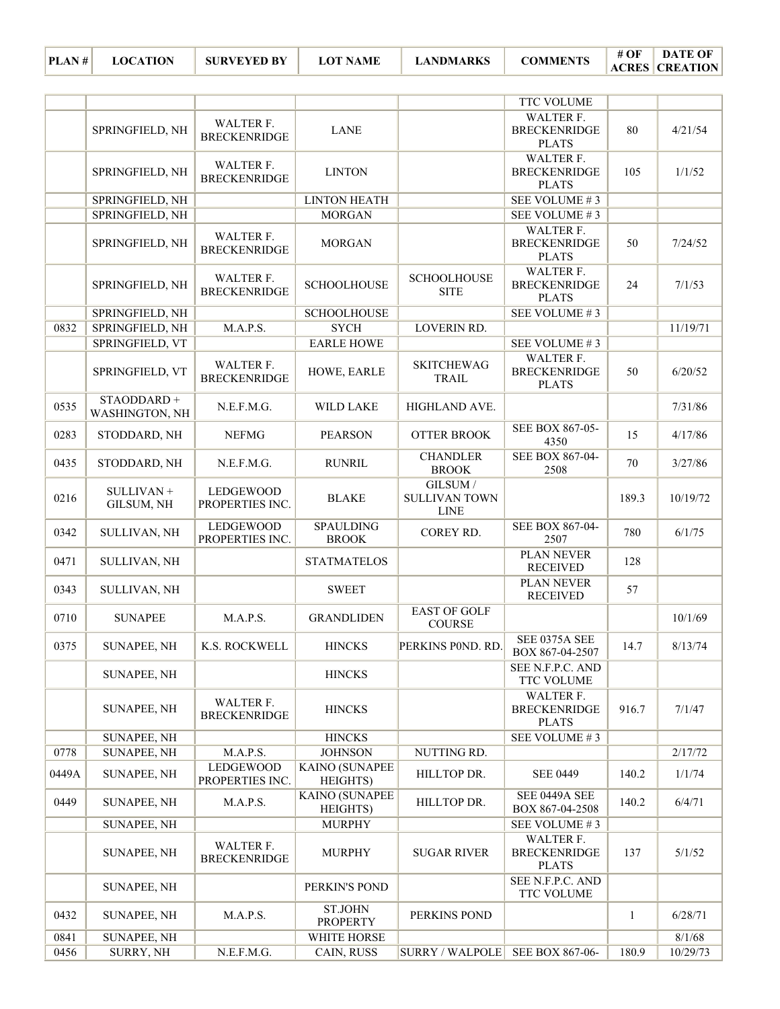| PLAN# | LО |
|-------|----|

|       |                              |                                     |                                   |                                                 | TTC VOLUME                                       |              |          |
|-------|------------------------------|-------------------------------------|-----------------------------------|-------------------------------------------------|--------------------------------------------------|--------------|----------|
|       | SPRINGFIELD, NH              | WALTER F.<br><b>BRECKENRIDGE</b>    | <b>LANE</b>                       |                                                 | WALTER F.<br><b>BRECKENRIDGE</b><br><b>PLATS</b> | 80           | 4/21/54  |
|       | SPRINGFIELD, NH              | WALTER F.<br><b>BRECKENRIDGE</b>    | <b>LINTON</b>                     |                                                 | WALTER F.<br><b>BRECKENRIDGE</b><br><b>PLATS</b> | 105          | 1/1/52   |
|       | SPRINGFIELD, NH              |                                     | <b>LINTON HEATH</b>               |                                                 | SEE VOLUME #3                                    |              |          |
|       | SPRINGFIELD, NH              |                                     | <b>MORGAN</b>                     |                                                 | SEE VOLUME #3                                    |              |          |
|       | SPRINGFIELD, NH              | WALTER F.<br><b>BRECKENRIDGE</b>    | <b>MORGAN</b>                     |                                                 | WALTER F.<br><b>BRECKENRIDGE</b><br><b>PLATS</b> | 50           | 7/24/52  |
|       | SPRINGFIELD, NH              | WALTER F.<br><b>BRECKENRIDGE</b>    | <b>SCHOOLHOUSE</b>                | <b>SCHOOLHOUSE</b><br><b>SITE</b>               | WALTER F.<br><b>BRECKENRIDGE</b><br><b>PLATS</b> | 24           | 7/1/53   |
|       | SPRINGFIELD, NH              |                                     | <b>SCHOOLHOUSE</b>                |                                                 | SEE VOLUME #3                                    |              |          |
| 0832  | SPRINGFIELD, NH              | M.A.P.S.                            | <b>SYCH</b>                       | <b>LOVERIN RD.</b>                              |                                                  |              | 11/19/71 |
|       | SPRINGFIELD, VT              |                                     | <b>EARLE HOWE</b>                 |                                                 | SEE VOLUME #3                                    |              |          |
|       | SPRINGFIELD, VT              | WALTER F.<br><b>BRECKENRIDGE</b>    | HOWE, EARLE                       | <b>SKITCHEWAG</b><br><b>TRAIL</b>               | WALTER F.<br><b>BRECKENRIDGE</b><br><b>PLATS</b> | 50           | 6/20/52  |
| 0535  | STAODDARD+<br>WASHINGTON, NH | N.E.F.M.G.                          | WILD LAKE                         | HIGHLAND AVE.                                   |                                                  |              | 7/31/86  |
| 0283  | STODDARD, NH                 | <b>NEFMG</b>                        | <b>PEARSON</b>                    | <b>OTTER BROOK</b>                              | SEE BOX 867-05-<br>4350                          | 15           | 4/17/86  |
| 0435  | STODDARD, NH                 | N.E.F.M.G.                          | <b>RUNRIL</b>                     | <b>CHANDLER</b><br><b>BROOK</b>                 | SEE BOX 867-04-<br>2508                          | 70           | 3/27/86  |
| 0216  | SULLIVAN +<br>GILSUM, NH     | LEDGEWOOD<br>PROPERTIES INC.        | <b>BLAKE</b>                      | GILSUM /<br><b>SULLIVAN TOWN</b><br><b>LINE</b> |                                                  | 189.3        | 10/19/72 |
| 0342  | SULLIVAN, NH                 | <b>LEDGEWOOD</b><br>PROPERTIES INC. | <b>SPAULDING</b><br><b>BROOK</b>  | COREY RD.                                       | SEE BOX 867-04-<br>2507                          | 780          | 6/1/75   |
| 0471  | SULLIVAN, NH                 |                                     | <b>STATMATELOS</b>                |                                                 | PLAN NEVER<br><b>RECEIVED</b>                    | 128          |          |
| 0343  | SULLIVAN, NH                 |                                     | <b>SWEET</b>                      |                                                 | PLAN NEVER<br><b>RECEIVED</b>                    | 57           |          |
| 0710  | <b>SUNAPEE</b>               | M.A.P.S.                            | <b>GRANDLIDEN</b>                 | <b>EAST OF GOLF</b><br><b>COURSE</b>            |                                                  |              | 10/1/69  |
| 0375  | <b>SUNAPEE, NH</b>           | K.S. ROCKWELL                       | <b>HINCKS</b>                     | PERKINS POND. RD.                               | SEE 0375A SEE<br>BOX 867-04-2507                 | 14.7         | 8/13/74  |
|       | <b>SUNAPEE, NH</b>           |                                     | <b>HINCKS</b>                     |                                                 | <b>SEE N.F.P.C. AND</b><br>TTC VOLUME            |              |          |
|       | <b>SUNAPEE, NH</b>           | WALTER F.<br><b>BRECKENRIDGE</b>    | <b>HINCKS</b>                     |                                                 | WALTER F.<br><b>BRECKENRIDGE</b><br><b>PLATS</b> | 916.7        | 7/1/47   |
|       | SUNAPEE, NH                  |                                     | <b>HINCKS</b>                     |                                                 | SEE VOLUME #3                                    |              |          |
| 0778  | SUNAPEE, NH                  | M.A.P.S.                            | <b>JOHNSON</b>                    | NUTTING RD.                                     |                                                  |              | 2/17/72  |
| 0449A | <b>SUNAPEE, NH</b>           | <b>LEDGEWOOD</b><br>PROPERTIES INC. | <b>KAINO (SUNAPEE</b><br>HEIGHTS) | HILLTOP DR.                                     | <b>SEE 0449</b>                                  | 140.2        | 1/1/74   |
| 0449  | <b>SUNAPEE, NH</b>           | M.A.P.S.                            | KAINO (SUNAPEE<br>HEIGHTS)        | HILLTOP DR.                                     | SEE 0449A SEE<br>BOX 867-04-2508                 | 140.2        | 6/4/71   |
|       | <b>SUNAPEE, NH</b>           |                                     | <b>MURPHY</b>                     |                                                 | SEE VOLUME #3                                    |              |          |
|       | <b>SUNAPEE, NH</b>           | WALTER F.<br><b>BRECKENRIDGE</b>    | <b>MURPHY</b>                     | <b>SUGAR RIVER</b>                              | WALTER F.<br><b>BRECKENRIDGE</b><br><b>PLATS</b> | 137          | 5/1/52   |
|       | <b>SUNAPEE, NH</b>           |                                     | PERKIN'S POND                     |                                                 | SEE N.F.P.C. AND<br>TTC VOLUME                   |              |          |
| 0432  | <b>SUNAPEE, NH</b>           | M.A.P.S.                            | <b>ST.JOHN</b><br><b>PROPERTY</b> | PERKINS POND                                    |                                                  | $\mathbf{1}$ | 6/28/71  |
| 0841  | <b>SUNAPEE, NH</b>           |                                     | WHITE HORSE                       |                                                 |                                                  |              | 8/1/68   |
| 0456  | SURRY, NH                    | N.E.F.M.G.                          | CAIN, RUSS                        | SURRY / WALPOLE                                 | SEE BOX 867-06-                                  | 180.9        | 10/29/73 |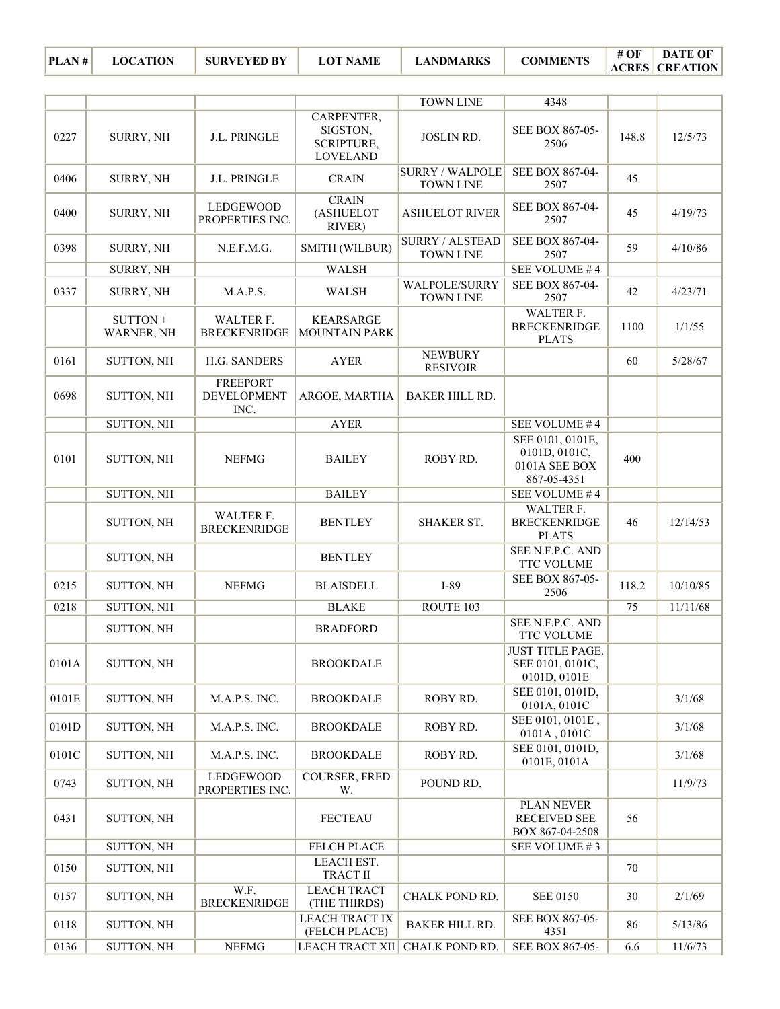**PLAN # LOCATION SURVEYED BY LOT NAME LANDMARKS COMMENTS ACRES DATE OF CREATION**

|       |                        |                                               |                                                         | <b>TOWN LINE</b>                           | 4348                                                              |       |          |
|-------|------------------------|-----------------------------------------------|---------------------------------------------------------|--------------------------------------------|-------------------------------------------------------------------|-------|----------|
| 0227  | SURRY, NH              | J.L. PRINGLE                                  | CARPENTER,<br>SIGSTON,<br>SCRIPTURE,<br><b>LOVELAND</b> | <b>JOSLIN RD.</b>                          | SEE BOX 867-05-<br>2506                                           | 148.8 | 12/5/73  |
| 0406  | <b>SURRY, NH</b>       | J.L. PRINGLE                                  | <b>CRAIN</b>                                            | <b>SURRY / WALPOLE</b><br><b>TOWN LINE</b> | SEE BOX 867-04-<br>2507                                           | 45    |          |
| 0400  | SURRY, NH              | LEDGEWOOD<br>PROPERTIES INC.                  | <b>CRAIN</b><br>(ASHUELOT<br>RIVER)                     | <b>ASHUELOT RIVER</b>                      | SEE BOX 867-04-<br>2507                                           | 45    | 4/19/73  |
| 0398  | <b>SURRY, NH</b>       | N.E.F.M.G.                                    | SMITH (WILBUR)                                          | <b>SURRY / ALSTEAD</b><br><b>TOWN LINE</b> | SEE BOX 867-04-<br>2507                                           | 59    | 4/10/86  |
|       | SURRY, NH              |                                               | <b>WALSH</b>                                            |                                            | SEE VOLUME #4                                                     |       |          |
| 0337  | <b>SURRY, NH</b>       | M.A.P.S.                                      | WALSH                                                   | WALPOLE/SURRY<br><b>TOWN LINE</b>          | SEE BOX 867-04-<br>2507                                           | 42    | 4/23/71  |
|       | SUTTON +<br>WARNER, NH | WALTER F.<br><b>BRECKENRIDGE</b>              | <b>KEARSARGE</b><br><b>MOUNTAIN PARK</b>                |                                            | WALTER F.<br><b>BRECKENRIDGE</b><br><b>PLATS</b>                  | 1100  | 1/1/55   |
| 0161  | <b>SUTTON, NH</b>      | H.G. SANDERS                                  | <b>AYER</b>                                             | <b>NEWBURY</b><br><b>RESIVOIR</b>          |                                                                   | 60    | 5/28/67  |
| 0698  | SUTTON, NH             | <b>FREEPORT</b><br><b>DEVELOPMENT</b><br>INC. | ARGOE, MARTHA                                           | <b>BAKER HILL RD.</b>                      |                                                                   |       |          |
|       | SUTTON, NH             |                                               | <b>AYER</b>                                             |                                            | SEE VOLUME #4                                                     |       |          |
| 0101  | <b>SUTTON, NH</b>      | <b>NEFMG</b>                                  | <b>BAILEY</b>                                           | ROBY RD.                                   | SEE 0101, 0101E,<br>0101D, 0101C,<br>0101A SEE BOX<br>867-05-4351 | 400   |          |
|       | <b>SUTTON, NH</b>      |                                               | <b>BAILEY</b>                                           |                                            | SEE VOLUME #4                                                     |       |          |
|       | <b>SUTTON, NH</b>      | WALTER F.<br><b>BRECKENRIDGE</b>              | <b>BENTLEY</b>                                          | <b>SHAKER ST.</b>                          | WALTER F.<br><b>BRECKENRIDGE</b><br><b>PLATS</b>                  | 46    | 12/14/53 |
|       | <b>SUTTON, NH</b>      |                                               | <b>BENTLEY</b>                                          |                                            | SEE N.F.P.C. AND<br>TTC VOLUME                                    |       |          |
| 0215  | SUTTON, NH             | <b>NEFMG</b>                                  | <b>BLAISDELL</b>                                        | $I-89$                                     | SEE BOX 867-05-<br>2506                                           | 118.2 | 10/10/85 |
| 0218  | SUTTON, NH             |                                               | <b>BLAKE</b>                                            | ROUTE 103                                  |                                                                   | 75    | 11/11/68 |
|       | <b>SUTTON, NH</b>      |                                               | <b>BRADFORD</b>                                         |                                            | SEE N.F.P.C. AND<br>TTC VOLUME                                    |       |          |
| 0101A | <b>SUTTON, NH</b>      |                                               | <b>BROOKDALE</b>                                        |                                            | <b>JUST TITLE PAGE.</b><br>SEE 0101, 0101C,<br>0101D, 0101E       |       |          |
| 0101E | SUTTON, NH             | M.A.P.S. INC.                                 | <b>BROOKDALE</b>                                        | ROBY RD.                                   | SEE 0101, 0101D,<br>0101A, 0101C                                  |       | 3/1/68   |
| 0101D | <b>SUTTON, NH</b>      | M.A.P.S. INC.                                 | <b>BROOKDALE</b>                                        | ROBY RD.                                   | SEE 0101, 0101E,<br>0101A, 0101C                                  |       | 3/1/68   |
| 0101C | <b>SUTTON, NH</b>      | M.A.P.S. INC.                                 | <b>BROOKDALE</b>                                        | ROBY RD.                                   | SEE 0101, 0101D,<br>0101E, 0101A                                  |       | 3/1/68   |
| 0743  | <b>SUTTON, NH</b>      | LEDGEWOOD<br>PROPERTIES INC.                  | COURSER, FRED<br>W.                                     | POUND RD.                                  |                                                                   |       | 11/9/73  |
| 0431  | <b>SUTTON, NH</b>      |                                               | <b>FECTEAU</b>                                          |                                            | PLAN NEVER<br><b>RECEIVED SEE</b><br>BOX 867-04-2508              | 56    |          |
|       | SUTTON, NH             |                                               | FELCH PLACE                                             |                                            | SEE VOLUME #3                                                     |       |          |
| 0150  | <b>SUTTON, NH</b>      |                                               | LEACH EST.<br>TRACT II                                  |                                            |                                                                   | 70    |          |
| 0157  | <b>SUTTON, NH</b>      | W.F.<br><b>BRECKENRIDGE</b>                   | <b>LEACH TRACT</b><br>(THE THIRDS)                      | CHALK POND RD.                             | <b>SEE 0150</b>                                                   | 30    | 2/1/69   |
| 0118  | <b>SUTTON, NH</b>      |                                               | <b>LEACH TRACT IX</b><br>(FELCH PLACE)                  | <b>BAKER HILL RD.</b>                      | SEE BOX 867-05-<br>4351                                           | 86    | 5/13/86  |
| 0136  | SUTTON, NH             | <b>NEFMG</b>                                  | LEACH TRACT XII                                         | CHALK POND RD.                             | SEE BOX 867-05-                                                   | 6.6   | 11/6/73  |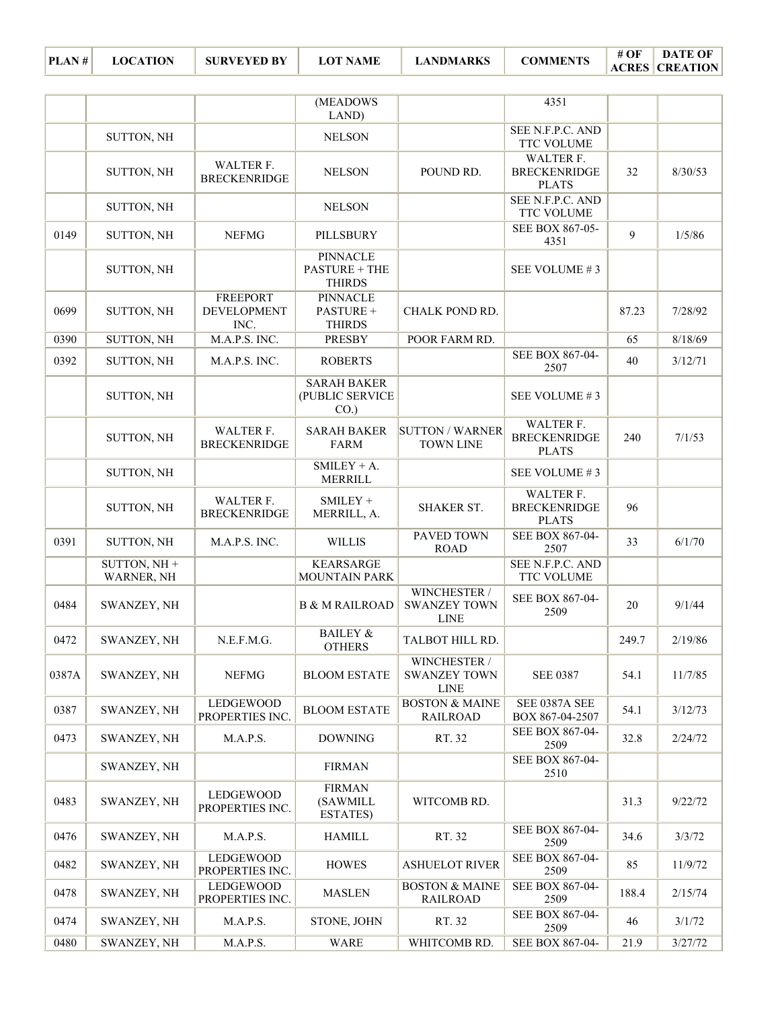| PLAN# | <b>LOCATION</b> | <b>SURVEYED BY</b> | <b>LOT NAME</b> | <b>LANDMARKS</b> | <b>COMMENTS</b> | # OF | <b>DATE OF</b><br><b>ACRES CREATION</b> |
|-------|-----------------|--------------------|-----------------|------------------|-----------------|------|-----------------------------------------|
|-------|-----------------|--------------------|-----------------|------------------|-----------------|------|-----------------------------------------|

|       |                              |                                               | (MEADOWS<br>LAND)                                        |                                                    | 4351                                             |       |         |
|-------|------------------------------|-----------------------------------------------|----------------------------------------------------------|----------------------------------------------------|--------------------------------------------------|-------|---------|
|       | SUTTON, NH                   |                                               | <b>NELSON</b>                                            |                                                    | SEE N.F.P.C. AND<br>TTC VOLUME                   |       |         |
|       | SUTTON, NH                   | WALTER F.<br><b>BRECKENRIDGE</b>              | <b>NELSON</b>                                            | POUND RD.                                          | WALTER F.<br><b>BRECKENRIDGE</b><br><b>PLATS</b> | 32    | 8/30/53 |
|       | SUTTON, NH                   |                                               | <b>NELSON</b>                                            |                                                    | SEE N.F.P.C. AND<br>TTC VOLUME                   |       |         |
| 0149  | SUTTON, NH                   | <b>NEFMG</b>                                  | PILLSBURY                                                |                                                    | SEE BOX 867-05-<br>4351                          | 9     | 1/5/86  |
|       | SUTTON, NH                   |                                               | <b>PINNACLE</b><br><b>PASTURE + THE</b><br><b>THIRDS</b> |                                                    | SEE VOLUME #3                                    |       |         |
| 0699  | SUTTON, NH                   | <b>FREEPORT</b><br><b>DEVELOPMENT</b><br>INC. | <b>PINNACLE</b><br>PASTURE +<br><b>THIRDS</b>            | CHALK POND RD.                                     |                                                  | 87.23 | 7/28/92 |
| 0390  | SUTTON, NH                   | M.A.P.S. INC.                                 | <b>PRESBY</b>                                            | POOR FARM RD.                                      |                                                  | 65    | 8/18/69 |
| 0392  | SUTTON, NH                   | M.A.P.S. INC.                                 | <b>ROBERTS</b>                                           |                                                    | SEE BOX 867-04-<br>2507                          | 40    | 3/12/71 |
|       | SUTTON, NH                   |                                               | <b>SARAH BAKER</b><br>(PUBLIC SERVICE<br>$CO.$ )         |                                                    | SEE VOLUME #3                                    |       |         |
|       | SUTTON, NH                   | WALTER F.<br><b>BRECKENRIDGE</b>              | <b>SARAH BAKER</b><br><b>FARM</b>                        | <b>SUTTON / WARNER</b><br><b>TOWN LINE</b>         | WALTER F.<br><b>BRECKENRIDGE</b><br><b>PLATS</b> | 240   | 7/1/53  |
|       | SUTTON, NH                   |                                               | $SMILEY + A$ .<br>MERRILL                                |                                                    | SEE VOLUME #3                                    |       |         |
|       | SUTTON, NH                   | WALTER F.<br><b>BRECKENRIDGE</b>              | SMILEY +<br>MERRILL, A.                                  | <b>SHAKER ST.</b>                                  | WALTER F.<br><b>BRECKENRIDGE</b><br><b>PLATS</b> | 96    |         |
| 0391  | SUTTON, NH                   | M.A.P.S. INC.                                 | <b>WILLIS</b>                                            | <b>PAVED TOWN</b><br><b>ROAD</b>                   | SEE BOX 867-04-<br>2507                          | 33    | 6/1/70  |
|       | SUTTON, $NH +$<br>WARNER, NH |                                               | <b>KEARSARGE</b><br><b>MOUNTAIN PARK</b>                 |                                                    | SEE N.F.P.C. AND<br>TTC VOLUME                   |       |         |
| 0484  | SWANZEY, NH                  |                                               | <b>B &amp; M RAILROAD</b>                                | WINCHESTER /<br><b>SWANZEY TOWN</b><br><b>LINE</b> | SEE BOX 867-04-<br>2509                          | 20    | 9/1/44  |
| 0472  | SWANZEY, NH                  | N.E.F.M.G.                                    | <b>BAILEY &amp;</b><br><b>OTHERS</b>                     | TALBOT HILL RD.                                    |                                                  | 249.7 | 2/19/86 |
| 0387A | SWANZEY, NH                  | <b>NEFMG</b>                                  | <b>BLOOM ESTATE</b>                                      | WINCHESTER /<br><b>SWANZEY TOWN</b><br><b>LINE</b> | <b>SEE 0387</b>                                  | 54.1  | 11/7/85 |
| 0387  | SWANZEY, NH                  | <b>LEDGEWOOD</b><br>PROPERTIES INC.           | <b>BLOOM ESTATE</b>                                      | <b>BOSTON &amp; MAINE</b><br><b>RAILROAD</b>       | SEE 0387A SEE<br>BOX 867-04-2507                 | 54.1  | 3/12/73 |
| 0473  | SWANZEY, NH                  | M.A.P.S.                                      | <b>DOWNING</b>                                           | RT. 32                                             | SEE BOX 867-04-<br>2509                          | 32.8  | 2/24/72 |
|       | SWANZEY, NH                  |                                               | <b>FIRMAN</b>                                            |                                                    | SEE BOX 867-04-<br>2510                          |       |         |
| 0483  | SWANZEY, NH                  | LEDGEWOOD<br>PROPERTIES INC.                  | <b>FIRMAN</b><br>(SAWMILL<br><b>ESTATES</b> )            | WITCOMB RD.                                        |                                                  | 31.3  | 9/22/72 |
| 0476  | SWANZEY, NH                  | M.A.P.S.                                      | <b>HAMILL</b>                                            | RT. 32                                             | SEE BOX 867-04-<br>2509                          | 34.6  | 3/3/72  |
| 0482  | SWANZEY, NH                  | LEDGEWOOD<br>PROPERTIES INC.                  | <b>HOWES</b>                                             | <b>ASHUELOT RIVER</b>                              | SEE BOX 867-04-<br>2509                          | 85    | 11/9/72 |
| 0478  | SWANZEY, NH                  | LEDGEWOOD<br>PROPERTIES INC.                  | <b>MASLEN</b>                                            | <b>BOSTON &amp; MAINE</b><br><b>RAILROAD</b>       | SEE BOX 867-04-<br>2509                          | 188.4 | 2/15/74 |
| 0474  | SWANZEY, NH                  | M.A.P.S.                                      | STONE, JOHN                                              | RT. 32                                             | SEE BOX 867-04-<br>2509                          | 46    | 3/1/72  |
| 0480  | SWANZEY, NH                  | M.A.P.S.                                      | <b>WARE</b>                                              | WHITCOMB RD.                                       | SEE BOX 867-04-                                  | 21.9  | 3/27/72 |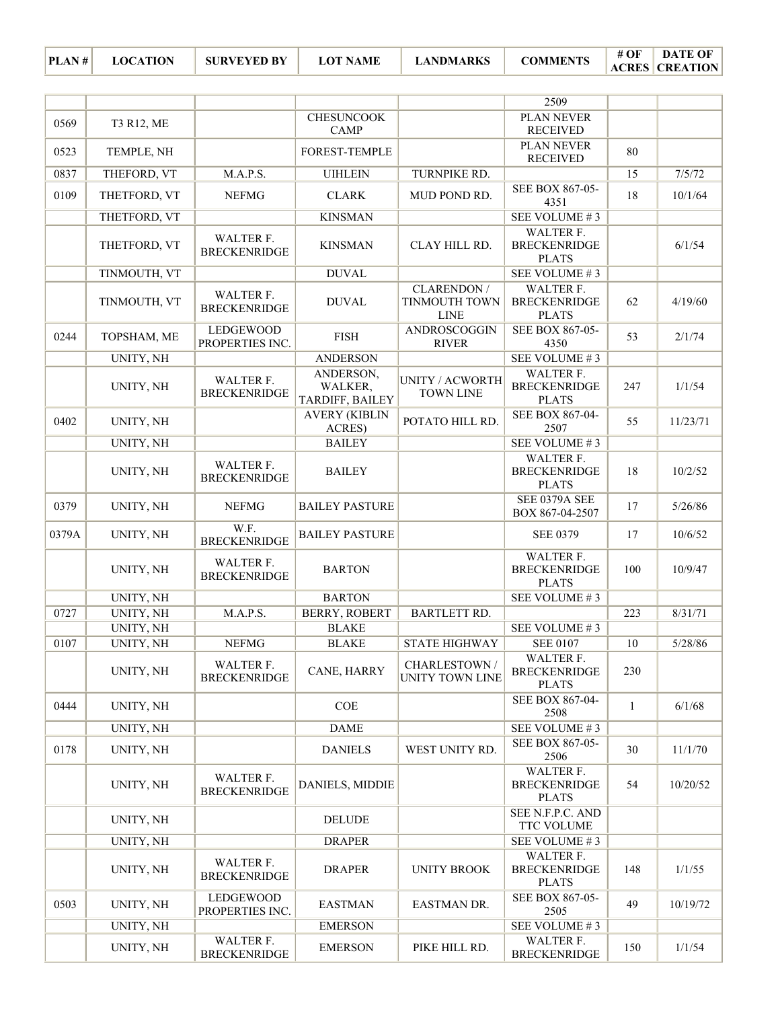| # OF | DATE OF                 |
|------|-------------------------|
|      | <b>ACRES   CREATION</b> |

|       |                  |                                         |                                         |                                             | 2509                                             |              |          |
|-------|------------------|-----------------------------------------|-----------------------------------------|---------------------------------------------|--------------------------------------------------|--------------|----------|
|       |                  |                                         | <b>CHESUNCOOK</b>                       |                                             | <b>PLAN NEVER</b>                                |              |          |
| 0569  | T3 R12, ME       |                                         | <b>CAMP</b>                             |                                             | <b>RECEIVED</b>                                  |              |          |
| 0523  | TEMPLE, NH       |                                         | FOREST-TEMPLE                           |                                             | PLAN NEVER<br><b>RECEIVED</b>                    | 80           |          |
| 0837  | THEFORD, VT      | M.A.P.S.                                | <b>UIHLEIN</b>                          | TURNPIKE RD.                                |                                                  | 15           | 7/5/72   |
| 0109  | THETFORD, VT     | <b>NEFMG</b>                            | <b>CLARK</b>                            | MUD POND RD.                                | SEE BOX 867-05-<br>4351                          | 18           | 10/1/64  |
|       | THETFORD, VT     |                                         | <b>KINSMAN</b>                          |                                             | SEE VOLUME #3                                    |              |          |
|       | THETFORD, VT     | WALTER F.<br><b>BRECKENRIDGE</b>        | <b>KINSMAN</b>                          | CLAY HILL RD.                               | WALTER F.<br><b>BRECKENRIDGE</b><br><b>PLATS</b> |              | 6/1/54   |
|       | TINMOUTH, VT     |                                         | <b>DUVAL</b>                            |                                             | SEE VOLUME #3                                    |              |          |
|       | TINMOUTH, VT     | WALTER F.<br><b>BRECKENRIDGE</b>        | <b>DUVAL</b>                            | CLARENDON /<br>TINMOUTH TOWN<br><b>LINE</b> | WALTER F.<br><b>BRECKENRIDGE</b><br><b>PLATS</b> | 62           | 4/19/60  |
| 0244  | TOPSHAM, ME      | LEDGEWOOD<br>PROPERTIES INC.            | <b>FISH</b>                             | ANDROSCOGGIN<br><b>RIVER</b>                | SEE BOX 867-05-<br>4350                          | 53           | 2/1/74   |
|       | UNITY, NH        |                                         | <b>ANDERSON</b>                         |                                             | SEE VOLUME #3                                    |              |          |
|       | UNITY, NH        | WALTER F.<br><b>BRECKENRIDGE</b>        | ANDERSON,<br>WALKER,<br>TARDIFF, BAILEY | UNITY / ACWORTH<br><b>TOWN LINE</b>         | WALTER F.<br><b>BRECKENRIDGE</b><br><b>PLATS</b> | 247          | 1/1/54   |
| 0402  | UNITY, NH        |                                         | <b>AVERY (KIBLIN</b><br>ACRES)          | POTATO HILL RD.                             | SEE BOX 867-04-<br>2507                          | 55           | 11/23/71 |
|       | UNITY, NH        |                                         | <b>BAILEY</b>                           |                                             | SEE VOLUME #3                                    |              |          |
|       | UNITY, NH        | WALTER F.<br><b>BRECKENRIDGE</b>        | <b>BAILEY</b>                           |                                             | WALTER F.<br><b>BRECKENRIDGE</b><br><b>PLATS</b> | 18           | 10/2/52  |
| 0379  | UNITY, NH        | <b>NEFMG</b>                            | <b>BAILEY PASTURE</b>                   |                                             | SEE 0379A SEE<br>BOX 867-04-2507                 | 17           | 5/26/86  |
| 0379A | UNITY, NH        | W.F.<br><b>BRECKENRIDGE</b>             | <b>BAILEY PASTURE</b>                   |                                             | <b>SEE 0379</b>                                  | 17           | 10/6/52  |
|       | UNITY, NH        | WALTER F.<br><b>BRECKENRIDGE</b>        | <b>BARTON</b>                           |                                             | WALTER F.<br><b>BRECKENRIDGE</b><br><b>PLATS</b> | 100          | 10/9/47  |
|       | UNITY, NH        |                                         | <b>BARTON</b>                           |                                             | SEE VOLUME #3                                    |              |          |
| 0727  | <b>UNITY, NH</b> | M.A.P.S.                                | BERRY, ROBERT                           | <b>BARTLETT RD.</b>                         |                                                  | 223          | 8/31/71  |
|       | UNITY, NH        |                                         | <b>BLAKE</b>                            |                                             | SEE VOLUME #3                                    |              |          |
| 0107  | UNITY, NH        | <b>NEFMG</b>                            | <b>BLAKE</b>                            | <b>STATE HIGHWAY</b>                        | <b>SEE 0107</b>                                  | 10           | 5/28/86  |
|       | UNITY, NH        | WALTER F.<br><b>BRECKENRIDGE</b>        | CANE, HARRY                             | CHARLESTOWN /<br>UNITY TOWN LINE            | WALTER F.<br><b>BRECKENRIDGE</b><br><b>PLATS</b> | 230          |          |
| 0444  | UNITY, NH        |                                         | COE                                     |                                             | SEE BOX 867-04-<br>2508                          | $\mathbf{1}$ | 6/1/68   |
|       | UNITY, NH        |                                         | <b>DAME</b>                             |                                             | SEE VOLUME #3                                    |              |          |
| 0178  | UNITY, NH        |                                         | <b>DANIELS</b>                          | WEST UNITY RD.                              | SEE BOX 867-05-<br>2506                          | 30           | 11/1/70  |
|       | UNITY, NH        | WALTER F.<br><b>BRECKENRIDGE</b>        | DANIELS, MIDDIE                         |                                             | WALTER F.<br><b>BRECKENRIDGE</b><br><b>PLATS</b> | 54           | 10/20/52 |
|       | UNITY, NH        |                                         | <b>DELUDE</b>                           |                                             | SEE N.F.P.C. AND<br>TTC VOLUME                   |              |          |
|       | UNITY, NH        |                                         | <b>DRAPER</b>                           |                                             | SEE VOLUME #3                                    |              |          |
|       | UNITY, NH        | <b>WALTER F.</b><br><b>BRECKENRIDGE</b> | <b>DRAPER</b>                           | <b>UNITY BROOK</b>                          | WALTER F.<br><b>BRECKENRIDGE</b><br><b>PLATS</b> | 148          | 1/1/55   |
| 0503  | UNITY, NH        | <b>LEDGEWOOD</b><br>PROPERTIES INC.     | <b>EASTMAN</b>                          | EASTMAN DR.                                 | SEE BOX 867-05-<br>2505                          | 49           | 10/19/72 |
|       | UNITY, NH        |                                         | <b>EMERSON</b>                          |                                             | SEE VOLUME #3                                    |              |          |
|       | UNITY, NH        | <b>WALTER F.</b><br><b>BRECKENRIDGE</b> | <b>EMERSON</b>                          | PIKE HILL RD.                               | WALTER F.<br><b>BRECKENRIDGE</b>                 | 150          | 1/1/54   |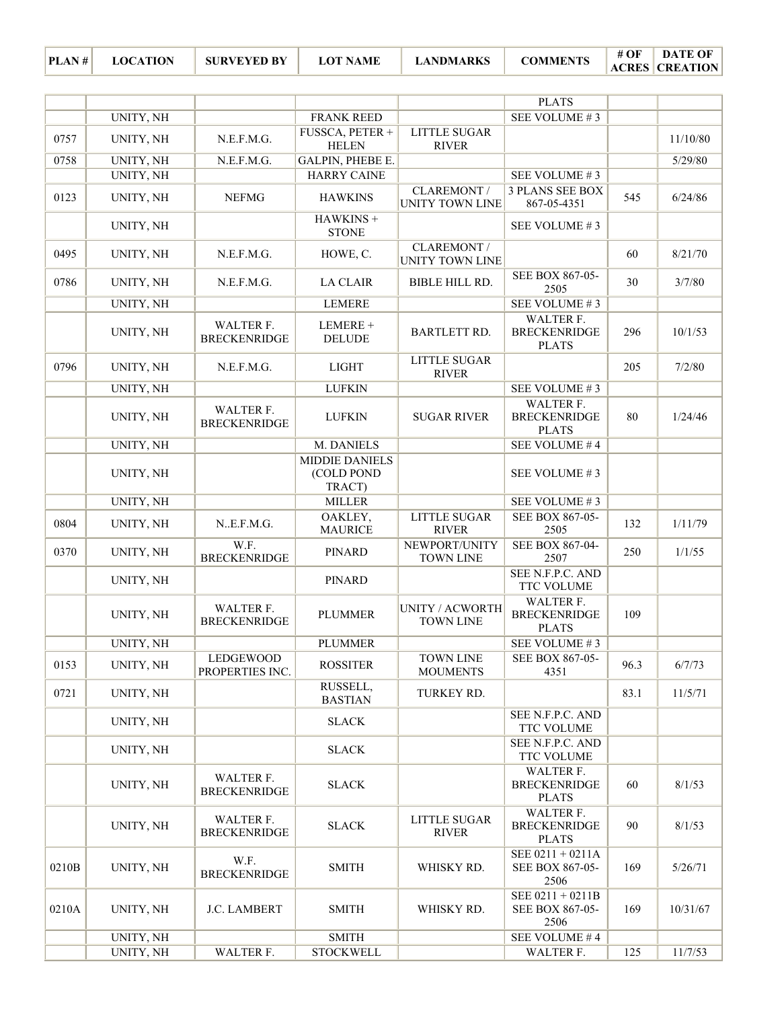| $ PLAN # $ LOCATION | – SURVEYED BY | <b>LOT NAME</b> | ' LANDMARKS . | COMMENTS | # OF | <b>DATE OF</b>        |
|---------------------|---------------|-----------------|---------------|----------|------|-----------------------|
|                     |               |                 |               |          |      | <b>ACRES CREATION</b> |

|       |                  |                                     |                                               |                                       | <b>PLATS</b>                                            |      |          |
|-------|------------------|-------------------------------------|-----------------------------------------------|---------------------------------------|---------------------------------------------------------|------|----------|
|       | <b>UNITY, NH</b> |                                     | <b>FRANK REED</b>                             |                                       | SEE VOLUME #3                                           |      |          |
| 0757  | UNITY, NH        | N.E.F.M.G.                          | FUSSCA, PETER +<br><b>HELEN</b>               | LITTLE SUGAR<br><b>RIVER</b>          |                                                         |      | 11/10/80 |
| 0758  | UNITY, NH        | N.E.F.M.G.                          | GALPIN, PHEBE E.                              |                                       |                                                         |      | 5/29/80  |
|       | UNITY, NH        |                                     | <b>HARRY CAINE</b>                            |                                       | SEE VOLUME #3                                           |      |          |
| 0123  | UNITY, NH        | <b>NEFMG</b>                        | <b>HAWKINS</b>                                | <b>CLAREMONT /</b><br>UNITY TOWN LINE | <b>3 PLANS SEE BOX</b><br>867-05-4351                   | 545  | 6/24/86  |
|       | UNITY, NH        |                                     | HAWKINS +<br><b>STONE</b>                     |                                       | SEE VOLUME #3                                           |      |          |
| 0495  | UNITY, NH        | N.E.F.M.G.                          | HOWE, C.                                      | CLAREMONT /<br>UNITY TOWN LINE        |                                                         | 60   | 8/21/70  |
| 0786  | UNITY, NH        | N.E.F.M.G.                          | <b>LA CLAIR</b>                               | <b>BIBLE HILL RD.</b>                 | SEE BOX 867-05-<br>2505                                 | 30   | 3/7/80   |
|       | UNITY, NH        |                                     | <b>LEMERE</b>                                 |                                       | SEE VOLUME #3                                           |      |          |
|       | UNITY, NH        | WALTER F.<br><b>BRECKENRIDGE</b>    | LEMERE +<br><b>DELUDE</b>                     | <b>BARTLETT RD.</b>                   | WALTER F.<br><b>BRECKENRIDGE</b><br><b>PLATS</b>        | 296  | 10/1/53  |
| 0796  | UNITY, NH        | N.E.F.M.G.                          | <b>LIGHT</b>                                  | <b>LITTLE SUGAR</b><br><b>RIVER</b>   |                                                         | 205  | 7/2/80   |
|       | UNITY, NH        |                                     | <b>LUFKIN</b>                                 |                                       | SEE VOLUME #3                                           |      |          |
|       | UNITY, NH        | WALTER F.<br><b>BRECKENRIDGE</b>    | <b>LUFKIN</b>                                 | <b>SUGAR RIVER</b>                    | <b>WALTER F.</b><br><b>BRECKENRIDGE</b><br><b>PLATS</b> | 80   | 1/24/46  |
|       | UNITY, NH        |                                     | M. DANIELS                                    |                                       | SEE VOLUME #4                                           |      |          |
|       | UNITY, NH        |                                     | <b>MIDDIE DANIELS</b><br>(COLD POND<br>TRACT) |                                       | SEE VOLUME #3                                           |      |          |
|       | UNITY, NH        |                                     | <b>MILLER</b>                                 |                                       | SEE VOLUME #3                                           |      |          |
| 0804  | UNITY, NH        | N.E.F.M.G.                          | OAKLEY,<br><b>MAURICE</b>                     | <b>LITTLE SUGAR</b><br><b>RIVER</b>   | SEE BOX 867-05-<br>2505                                 | 132  | 1/11/79  |
| 0370  | UNITY, NH        | W.F.<br><b>BRECKENRIDGE</b>         | <b>PINARD</b>                                 | NEWPORT/UNITY<br><b>TOWN LINE</b>     | SEE BOX 867-04-<br>2507                                 | 250  | 1/1/55   |
|       | UNITY, NH        |                                     | PINARD                                        |                                       | <b>SEE N.F.P.C. AND</b><br>TTC VOLUME                   |      |          |
|       | UNITY, NH        | WALTER F.<br><b>BRECKENRIDGE</b>    | <b>PLUMMER</b>                                | UNITY / ACWORTH<br><b>TOWN LINE</b>   | WALTER F.<br><b>BRECKENRIDGE</b><br><b>PLATS</b>        | 109  |          |
|       | UNITY, NH        |                                     | <b>PLUMMER</b>                                |                                       | SEE VOLUME #3                                           |      |          |
| 0153  | UNITY, NH        | <b>LEDGEWOOD</b><br>PROPERTIES INC. | <b>ROSSITER</b>                               | <b>TOWN LINE</b><br><b>MOUMENTS</b>   | SEE BOX 867-05-<br>4351                                 | 96.3 | 6/7/73   |
| 0721  | UNITY, NH        |                                     | RUSSELL,<br><b>BASTIAN</b>                    | TURKEY RD.                            |                                                         | 83.1 | 11/5/71  |
|       | UNITY, NH        |                                     | <b>SLACK</b>                                  |                                       | <b>SEE N.F.P.C. AND</b><br>TTC VOLUME                   |      |          |
|       | UNITY, NH        |                                     | <b>SLACK</b>                                  |                                       | SEE N.F.P.C. AND<br>TTC VOLUME                          |      |          |
|       | UNITY, NH        | WALTER F.<br><b>BRECKENRIDGE</b>    | <b>SLACK</b>                                  |                                       | WALTER F.<br><b>BRECKENRIDGE</b><br><b>PLATS</b>        | 60   | 8/1/53   |
|       | UNITY, NH        | WALTER F.<br><b>BRECKENRIDGE</b>    | <b>SLACK</b>                                  | <b>LITTLE SUGAR</b><br><b>RIVER</b>   | WALTER F.<br><b>BRECKENRIDGE</b><br><b>PLATS</b>        | 90   | 8/1/53   |
| 0210B | UNITY, NH        | W.F.<br><b>BRECKENRIDGE</b>         | <b>SMITH</b>                                  | WHISKY RD.                            | SEE 0211 + 0211A<br>SEE BOX 867-05-<br>2506             | 169  | 5/26/71  |
| 0210A | UNITY, NH        | J.C. LAMBERT                        | <b>SMITH</b>                                  | WHISKY RD.                            | SEE 0211 + 0211B<br>SEE BOX 867-05-<br>2506             | 169  | 10/31/67 |
|       | UNITY, NH        |                                     | <b>SMITH</b>                                  |                                       | SEE VOLUME #4                                           |      |          |
|       | UNITY, NH        | WALTER F.                           | <b>STOCKWELL</b>                              |                                       | WALTER F.                                               | 125  | 11/7/53  |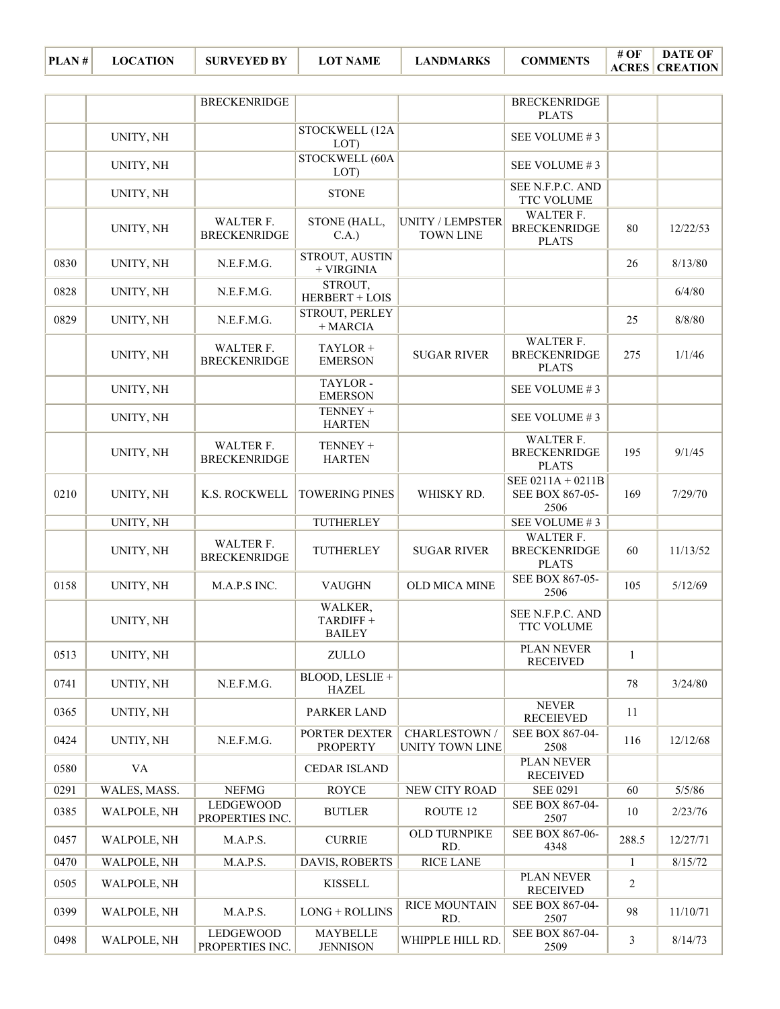|      |              | <b>BRECKENRIDGE</b>              |                                      |                                      | <b>BRECKENRIDGE</b><br><b>PLATS</b>              |                |          |
|------|--------------|----------------------------------|--------------------------------------|--------------------------------------|--------------------------------------------------|----------------|----------|
|      | UNITY, NH    |                                  | STOCKWELL (12A<br>LOT)               |                                      | SEE VOLUME #3                                    |                |          |
|      | UNITY, NH    |                                  | STOCKWELL (60A<br>LOT)               |                                      | SEE VOLUME #3                                    |                |          |
|      | UNITY, NH    |                                  | <b>STONE</b>                         |                                      | SEE N.F.P.C. AND<br><b>TTC VOLUME</b>            |                |          |
|      | UNITY, NH    | WALTER F.<br><b>BRECKENRIDGE</b> | STONE (HALL,<br>C.A.)                | UNITY / LEMPSTER<br><b>TOWN LINE</b> | WALTER F.<br><b>BRECKENRIDGE</b><br><b>PLATS</b> | 80             | 12/22/53 |
| 0830 | UNITY, NH    | N.E.F.M.G.                       | STROUT, AUSTIN<br>+ VIRGINIA         |                                      |                                                  | 26             | 8/13/80  |
| 0828 | UNITY, NH    | N.E.F.M.G.                       | STROUT,<br>HERBERT + LOIS            |                                      |                                                  |                | 6/4/80   |
| 0829 | UNITY, NH    | N.E.F.M.G.                       | STROUT, PERLEY<br>+ MARCIA           |                                      |                                                  | 25             | 8/8/80   |
|      | UNITY, NH    | WALTER F.<br><b>BRECKENRIDGE</b> | TAYLOR +<br><b>EMERSON</b>           | <b>SUGAR RIVER</b>                   | WALTER F.<br><b>BRECKENRIDGE</b><br><b>PLATS</b> | 275            | 1/1/46   |
|      | UNITY, NH    |                                  | TAYLOR-<br><b>EMERSON</b>            |                                      | SEE VOLUME #3                                    |                |          |
|      | UNITY, NH    |                                  | TENNEY +<br><b>HARTEN</b>            |                                      | SEE VOLUME #3                                    |                |          |
|      | UNITY, NH    | WALTER F.<br><b>BRECKENRIDGE</b> | TENNEY +<br><b>HARTEN</b>            |                                      | WALTER F.<br><b>BRECKENRIDGE</b><br><b>PLATS</b> | 195            | 9/1/45   |
| 0210 | UNITY, NH    | K.S. ROCKWELL                    | <b>TOWERING PINES</b>                | WHISKY RD.                           | SEE 0211A + 0211B<br>SEE BOX 867-05-<br>2506     | 169            | 7/29/70  |
|      | UNITY, NH    |                                  | TUTHERLEY                            |                                      | SEE VOLUME #3                                    |                |          |
|      | UNITY, NH    | WALTER F.<br><b>BRECKENRIDGE</b> | TUTHERLEY                            | <b>SUGAR RIVER</b>                   | WALTER F.<br><b>BRECKENRIDGE</b><br><b>PLATS</b> | 60             | 11/13/52 |
| 0158 | UNITY, NH    | M.A.P.S INC.                     | <b>VAUGHN</b>                        | OLD MICA MINE                        | SEE BOX 867-05-<br>2506                          | 105            | 5/12/69  |
|      | UNITY, NH    |                                  | WALKER,<br>TARDIFF+<br><b>BAILEY</b> |                                      | SEE N.F.P.C. AND<br>TTC VOLUME                   |                |          |
| 0513 | UNITY, NH    |                                  | ZULLO                                |                                      | <b>PLAN NEVER</b><br><b>RECEIVED</b>             | 1              |          |
| 0741 | UNTIY, NH    | N.E.F.M.G.                       | BLOOD, LESLIE +<br><b>HAZEL</b>      |                                      |                                                  | 78             | 3/24/80  |
| 0365 | UNTIY, NH    |                                  | PARKER LAND                          |                                      | <b>NEVER</b><br><b>RECEIEVED</b>                 | 11             |          |
| 0424 | UNTIY, NH    | N.E.F.M.G.                       | PORTER DEXTER<br><b>PROPERTY</b>     | CHARLESTOWN /<br>UNITY TOWN LINE     | SEE BOX 867-04-<br>2508                          | 116            | 12/12/68 |
| 0580 | VA           |                                  | <b>CEDAR ISLAND</b>                  |                                      | PLAN NEVER<br><b>RECEIVED</b>                    |                |          |
| 0291 | WALES, MASS. | <b>NEFMG</b>                     | <b>ROYCE</b>                         | NEW CITY ROAD                        | <b>SEE 0291</b>                                  | 60             | 5/5/86   |
| 0385 | WALPOLE, NH  | LEDGEWOOD<br>PROPERTIES INC.     | <b>BUTLER</b>                        | ROUTE 12                             | SEE BOX 867-04-<br>2507                          | $10\,$         | 2/23/76  |
| 0457 | WALPOLE, NH  | M.A.P.S.                         | <b>CURRIE</b>                        | <b>OLD TURNPIKE</b><br>RD.           | SEE BOX 867-06-<br>4348                          | 288.5          | 12/27/71 |
| 0470 | WALPOLE, NH  | M.A.P.S.                         | DAVIS, ROBERTS                       | <b>RICE LANE</b>                     |                                                  | 1              | 8/15/72  |
| 0505 | WALPOLE, NH  |                                  | <b>KISSELL</b>                       |                                      | PLAN NEVER<br><b>RECEIVED</b>                    | $\overline{2}$ |          |
| 0399 | WALPOLE, NH  | M.A.P.S.                         | $LONG + ROLLINS$                     | <b>RICE MOUNTAIN</b><br>RD.          | SEE BOX 867-04-<br>2507                          | 98             | 11/10/71 |
| 0498 | WALPOLE, NH  | LEDGEWOOD<br>PROPERTIES INC.     | MAYBELLE<br><b>JENNISON</b>          | WHIPPLE HILL RD.                     | SEE BOX 867-04-<br>2509                          | 3              | 8/14/73  |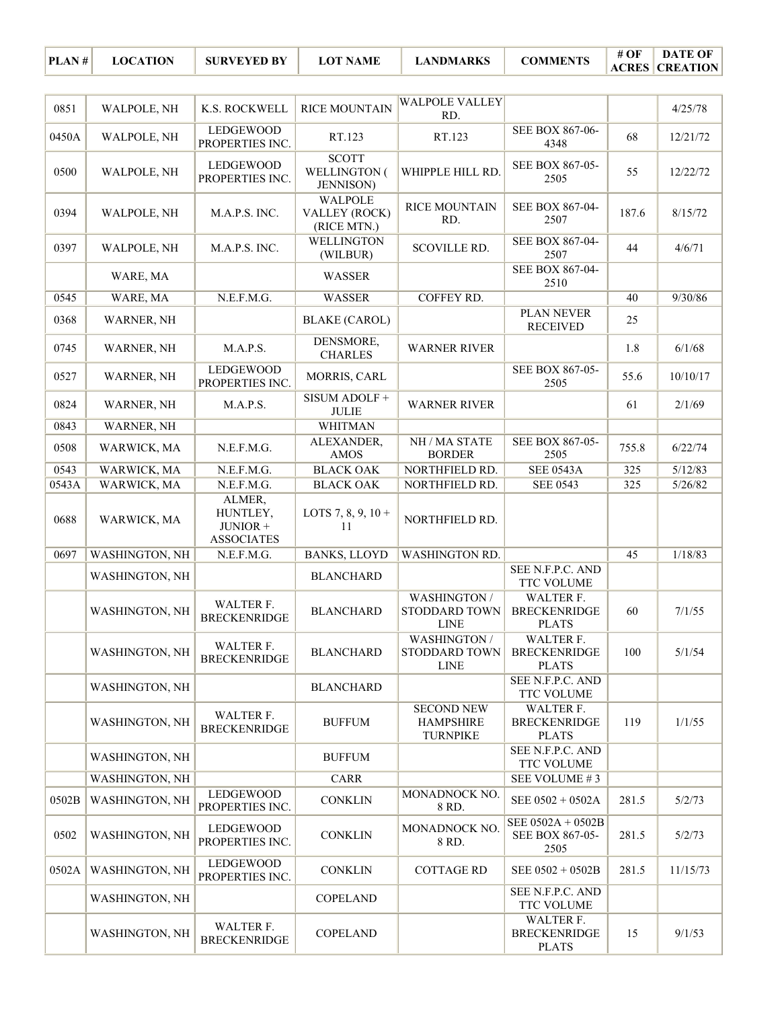| 0851  | WALPOLE, NH           | K.S. ROCKWELL                                       | <b>RICE MOUNTAIN</b>                              | <b>WALPOLE VALLEY</b><br>RD.                             |                                                  |       | 4/25/78  |
|-------|-----------------------|-----------------------------------------------------|---------------------------------------------------|----------------------------------------------------------|--------------------------------------------------|-------|----------|
| 0450A | WALPOLE, NH           | LEDGEWOOD<br>PROPERTIES INC.                        | RT.123                                            | RT.123                                                   | SEE BOX 867-06-<br>4348                          | 68    | 12/21/72 |
| 0500  | WALPOLE, NH           | LEDGEWOOD<br>PROPERTIES INC.                        | <b>SCOTT</b><br>WELLINGTON (<br><b>JENNISON</b> ) | WHIPPLE HILL RD.                                         | SEE BOX 867-05-<br>2505                          | 55    | 12/22/72 |
| 0394  | WALPOLE, NH           | M.A.P.S. INC.                                       | <b>WALPOLE</b><br>VALLEY (ROCK)<br>(RICE MTN.)    | <b>RICE MOUNTAIN</b><br>RD.                              | SEE BOX 867-04-<br>2507                          | 187.6 | 8/15/72  |
| 0397  | WALPOLE, NH           | M.A.P.S. INC.                                       | <b>WELLINGTON</b><br>(WILBUR)                     | <b>SCOVILLE RD.</b>                                      | SEE BOX 867-04-<br>2507                          | 44    | 4/6/71   |
|       | WARE, MA              |                                                     | <b>WASSER</b>                                     |                                                          | SEE BOX 867-04-<br>2510                          |       |          |
| 0545  | WARE, MA              | N.E.F.M.G.                                          | <b>WASSER</b>                                     | COFFEY RD.                                               |                                                  | 40    | 9/30/86  |
| 0368  | WARNER, NH            |                                                     | <b>BLAKE (CAROL)</b>                              |                                                          | PLAN NEVER<br><b>RECEIVED</b>                    | 25    |          |
| 0745  | WARNER, NH            | M.A.P.S.                                            | DENSMORE,<br><b>CHARLES</b>                       | <b>WARNER RIVER</b>                                      |                                                  | 1.8   | 6/1/68   |
| 0527  | WARNER, NH            | <b>LEDGEWOOD</b><br>PROPERTIES INC.                 | MORRIS, CARL                                      |                                                          | SEE BOX 867-05-<br>2505                          | 55.6  | 10/10/17 |
| 0824  | WARNER, NH            | M.A.P.S.                                            | SISUM ADOLF +<br><b>JULIE</b>                     | <b>WARNER RIVER</b>                                      |                                                  | 61    | 2/1/69   |
| 0843  | WARNER, NH            |                                                     | <b>WHITMAN</b>                                    |                                                          |                                                  |       |          |
| 0508  | WARWICK, MA           | N.E.F.M.G.                                          | ALEXANDER,<br><b>AMOS</b>                         | NH / MA STATE<br><b>BORDER</b>                           | SEE BOX 867-05-<br>2505                          | 755.8 | 6/22/74  |
| 0543  | WARWICK, MA           | N.E.F.M.G.                                          | <b>BLACK OAK</b>                                  | NORTHFIELD RD.                                           | <b>SEE 0543A</b>                                 | 325   | 5/12/83  |
| 0543A | WARWICK, MA           | N.E.F.M.G.                                          | <b>BLACK OAK</b>                                  | NORTHFIELD RD.                                           | <b>SEE 0543</b>                                  | 325   | 5/26/82  |
| 0688  | WARWICK, MA           | ALMER,<br>HUNTLEY,<br>JUNIOR +<br><b>ASSOCIATES</b> | LOTS 7, 8, 9, $10 +$<br>11                        | NORTHFIELD RD.                                           |                                                  |       |          |
| 0697  | WASHINGTON, NH        | N.E.F.M.G.                                          | <b>BANKS, LLOYD</b>                               | <b>WASHINGTON RD.</b>                                    |                                                  | 45    | 1/18/83  |
|       | <b>WASHINGTON, NH</b> |                                                     | <b>BLANCHARD</b>                                  |                                                          | SEE N.F.P.C. AND<br><b>TTC VOLUME</b>            |       |          |
|       | WASHINGTON, NH        | WALTER F.<br><b>BRECKENRIDGE</b>                    | <b>BLANCHARD</b>                                  | <b>WASHINGTON /</b><br>STODDARD TOWN<br><b>LINE</b>      | WALTER F.<br><b>BRECKENRIDGE</b><br><b>PLATS</b> | 60    | 7/1/55   |
|       | <b>WASHINGTON, NH</b> | WALTER F.<br><b>BRECKENRIDGE</b>                    | <b>BLANCHARD</b>                                  | WASHINGTON /<br>STODDARD TOWN<br>LINE                    | WALTER F.<br><b>BRECKENRIDGE</b><br><b>PLATS</b> | 100   | 5/1/54   |
|       | WASHINGTON, NH        |                                                     | <b>BLANCHARD</b>                                  |                                                          | SEE N.F.P.C. AND<br>TTC VOLUME                   |       |          |
|       | <b>WASHINGTON, NH</b> | WALTER F.<br><b>BRECKENRIDGE</b>                    | <b>BUFFUM</b>                                     | <b>SECOND NEW</b><br><b>HAMPSHIRE</b><br><b>TURNPIKE</b> | WALTER F.<br><b>BRECKENRIDGE</b><br><b>PLATS</b> | 119   | 1/1/55   |
|       | WASHINGTON, NH        |                                                     | <b>BUFFUM</b>                                     |                                                          | SEE N.F.P.C. AND<br>TTC VOLUME                   |       |          |
|       | WASHINGTON, NH        |                                                     | CARR                                              |                                                          | SEE VOLUME #3                                    |       |          |
| 0502B | WASHINGTON, NH        | LEDGEWOOD<br>PROPERTIES INC.                        | <b>CONKLIN</b>                                    | MONADNOCK NO.<br>8 RD.                                   | SEE 0502 + 0502A                                 | 281.5 | 5/2/73   |
| 0502  | WASHINGTON, NH        | LEDGEWOOD<br>PROPERTIES INC.                        | <b>CONKLIN</b>                                    | MONADNOCK NO.<br>8 RD.                                   | SEE 0502A + 0502B<br>SEE BOX 867-05-<br>2505     | 281.5 | 5/2/73   |
| 0502A | WASHINGTON, NH        | LEDGEWOOD<br>PROPERTIES INC.                        | <b>CONKLIN</b>                                    | <b>COTTAGE RD</b>                                        | SEE 0502 + 0502B                                 | 281.5 | 11/15/73 |
|       | WASHINGTON, NH        |                                                     | <b>COPELAND</b>                                   |                                                          | SEE N.F.P.C. AND<br>TTC VOLUME                   |       |          |
|       | <b>WASHINGTON, NH</b> | WALTER F.<br><b>BRECKENRIDGE</b>                    | <b>COPELAND</b>                                   |                                                          | WALTER F.<br><b>BRECKENRIDGE</b><br><b>PLATS</b> | 15    | 9/1/53   |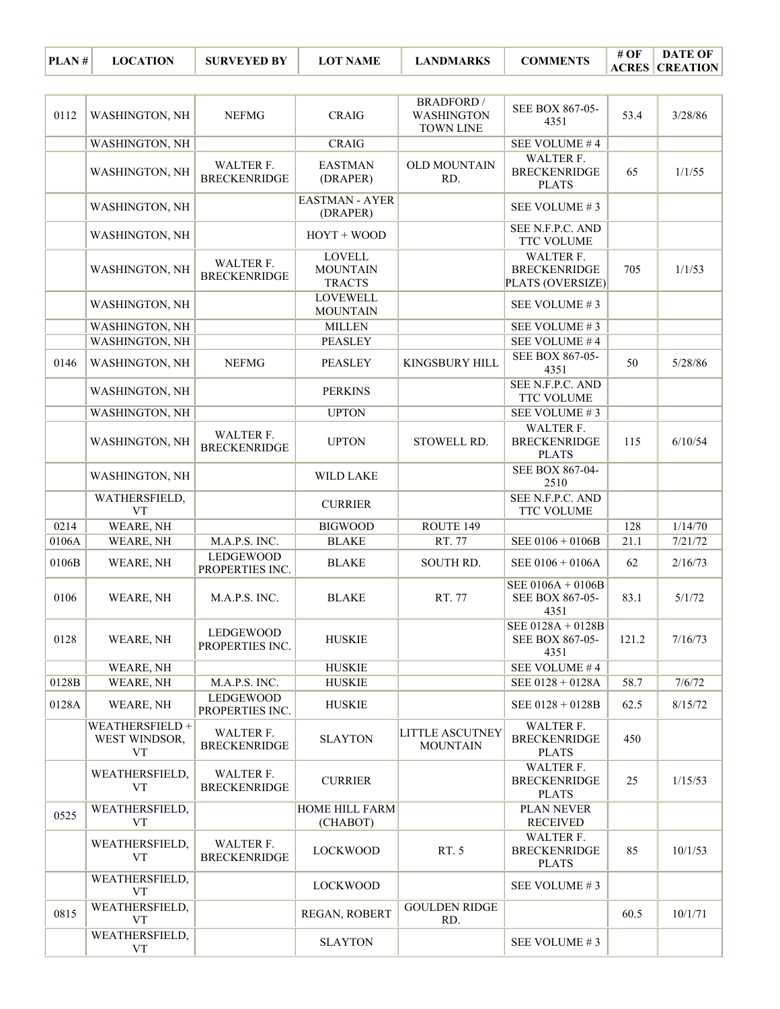| PLAN# | <b>LOCATION</b> | <b>SURVEYED BY</b> | <b>LOT NAME</b> | <b>LANDMARKS</b> | <b>COMMENTS</b> | # OF | <b>DATE OF</b>        |
|-------|-----------------|--------------------|-----------------|------------------|-----------------|------|-----------------------|
|       |                 |                    |                 |                  |                 |      | <b>ACRES CREATION</b> |

| 0112  | <b>WASHINGTON, NH</b>                         | <b>NEFMG</b>                        | <b>CRAIG</b>                                      | <b>BRADFORD</b> /<br><b>WASHINGTON</b><br><b>TOWN LINE</b> | SEE BOX 867-05-<br>4351                                     | 53.4  | 3/28/86 |
|-------|-----------------------------------------------|-------------------------------------|---------------------------------------------------|------------------------------------------------------------|-------------------------------------------------------------|-------|---------|
|       | WASHINGTON, NH                                |                                     | <b>CRAIG</b>                                      |                                                            | SEE VOLUME #4                                               |       |         |
|       | WASHINGTON, NH                                | WALTER F.<br><b>BRECKENRIDGE</b>    | <b>EASTMAN</b><br>(DRAPER)                        | <b>OLD MOUNTAIN</b><br>RD.                                 | WALTER F.<br><b>BRECKENRIDGE</b><br><b>PLATS</b>            | 65    | 1/1/55  |
|       | <b>WASHINGTON, NH</b>                         |                                     | <b>EASTMAN - AYER</b><br>(DRAPER)                 |                                                            | SEE VOLUME #3                                               |       |         |
|       | WASHINGTON, NH                                |                                     | $HOYT + WOOD$                                     |                                                            | SEE N.F.P.C. AND<br>TTC VOLUME                              |       |         |
|       | <b>WASHINGTON, NH</b>                         | WALTER F.<br><b>BRECKENRIDGE</b>    | <b>LOVELL</b><br><b>MOUNTAIN</b><br><b>TRACTS</b> |                                                            | <b>WALTER F.</b><br><b>BRECKENRIDGE</b><br>PLATS (OVERSIZE) | 705   | 1/1/53  |
|       | WASHINGTON, NH                                |                                     | <b>LOVEWELL</b><br><b>MOUNTAIN</b>                |                                                            | SEE VOLUME #3                                               |       |         |
|       | WASHINGTON, NH                                |                                     | <b>MILLEN</b>                                     |                                                            | SEE VOLUME #3                                               |       |         |
|       | <b>WASHINGTON, NH</b>                         |                                     | <b>PEASLEY</b>                                    |                                                            | SEE VOLUME #4                                               |       |         |
| 0146  | WASHINGTON, NH                                | <b>NEFMG</b>                        | <b>PEASLEY</b>                                    | KINGSBURY HILL                                             | SEE BOX 867-05-<br>4351                                     | 50    | 5/28/86 |
|       | WASHINGTON, NH                                |                                     | <b>PERKINS</b>                                    |                                                            | SEE N.F.P.C. AND<br><b>TTC VOLUME</b>                       |       |         |
|       | WASHINGTON, NH                                |                                     | <b>UPTON</b>                                      |                                                            | SEE VOLUME #3                                               |       |         |
|       | WASHINGTON, NH                                | WALTER F.<br><b>BRECKENRIDGE</b>    | <b>UPTON</b>                                      | STOWELL RD.                                                | WALTER F.<br><b>BRECKENRIDGE</b><br><b>PLATS</b>            | 115   | 6/10/54 |
|       | WASHINGTON, NH                                |                                     | <b>WILD LAKE</b>                                  |                                                            | SEE BOX 867-04-<br>2510                                     |       |         |
|       | WATHERSFIELD,<br><b>VT</b>                    |                                     | <b>CURRIER</b>                                    |                                                            | SEE N.F.P.C. AND<br>TTC VOLUME                              |       |         |
| 0214  | WEARE, NH                                     |                                     | <b>BIGWOOD</b>                                    | ROUTE 149                                                  |                                                             | 128   | 1/14/70 |
| 0106A | WEARE, NH                                     | M.A.P.S. INC.                       | <b>BLAKE</b>                                      | RT. 77                                                     | $\overline{\text{SEE }0106 + 0106B}$                        | 21.1  | 7/21/72 |
| 0106B | WEARE, NH                                     | <b>LEDGEWOOD</b><br>PROPERTIES INC. | <b>BLAKE</b>                                      | SOUTH RD.                                                  | SEE 0106 + 0106A                                            | 62    | 2/16/73 |
| 0106  | WEARE, NH                                     | M.A.P.S. INC.                       | <b>BLAKE</b>                                      | RT. 77                                                     | SEE 0106A + 0106B<br>SEE BOX 867-05-<br>4351                | 83.1  | 5/1/72  |
| 0128  | WEARE, NH                                     | LEDGEWOOD<br>PROPERTIES INC.        | <b>HUSKIE</b>                                     |                                                            | SEE 0128A + 0128B<br>SEE BOX 867-05-<br>4351                | 121.2 | 7/16/73 |
|       | WEARE, NH                                     |                                     | <b>HUSKIE</b>                                     |                                                            | SEE VOLUME #4                                               |       |         |
| 0128B | WEARE, NH                                     | M.A.P.S. INC.                       | <b>HUSKIE</b>                                     |                                                            | $SEE 0128 + 0128A$                                          | 58.7  | 7/6/72  |
| 0128A | WEARE, NH                                     | <b>LEDGEWOOD</b><br>PROPERTIES INC. | <b>HUSKIE</b>                                     |                                                            | SEE $0128 + 0128B$                                          | 62.5  | 8/15/72 |
|       | WEATHERSFIELD +<br>WEST WINDSOR,<br><b>VT</b> | WALTER F.<br><b>BRECKENRIDGE</b>    | <b>SLAYTON</b>                                    | <b>LITTLE ASCUTNEY</b><br><b>MOUNTAIN</b>                  | WALTER F.<br><b>BRECKENRIDGE</b><br><b>PLATS</b>            | 450   |         |
|       | WEATHERSFIELD,<br><b>VT</b>                   | WALTER F.<br><b>BRECKENRIDGE</b>    | <b>CURRIER</b>                                    |                                                            | WALTER F.<br><b>BRECKENRIDGE</b><br><b>PLATS</b>            | 25    | 1/15/53 |
| 0525  | WEATHERSFIELD,<br><b>VT</b>                   |                                     | HOME HILL FARM<br>(CHABOT)                        |                                                            | PLAN NEVER<br><b>RECEIVED</b>                               |       |         |
|       | WEATHERSFIELD,<br><b>VT</b>                   | WALTER F.<br><b>BRECKENRIDGE</b>    | <b>LOCKWOOD</b>                                   | RT. 5                                                      | <b>WALTER F.</b><br><b>BRECKENRIDGE</b><br><b>PLATS</b>     | 85    | 10/1/53 |
|       | WEATHERSFIELD,<br><b>VT</b>                   |                                     | <b>LOCKWOOD</b>                                   |                                                            | SEE VOLUME #3                                               |       |         |
| 0815  | WEATHERSFIELD,<br><b>VT</b>                   |                                     | REGAN, ROBERT                                     | <b>GOULDEN RIDGE</b><br>RD.                                |                                                             | 60.5  | 10/1/71 |
|       | WEATHERSFIELD,                                |                                     |                                                   |                                                            | SEE VOLUME #3                                               |       |         |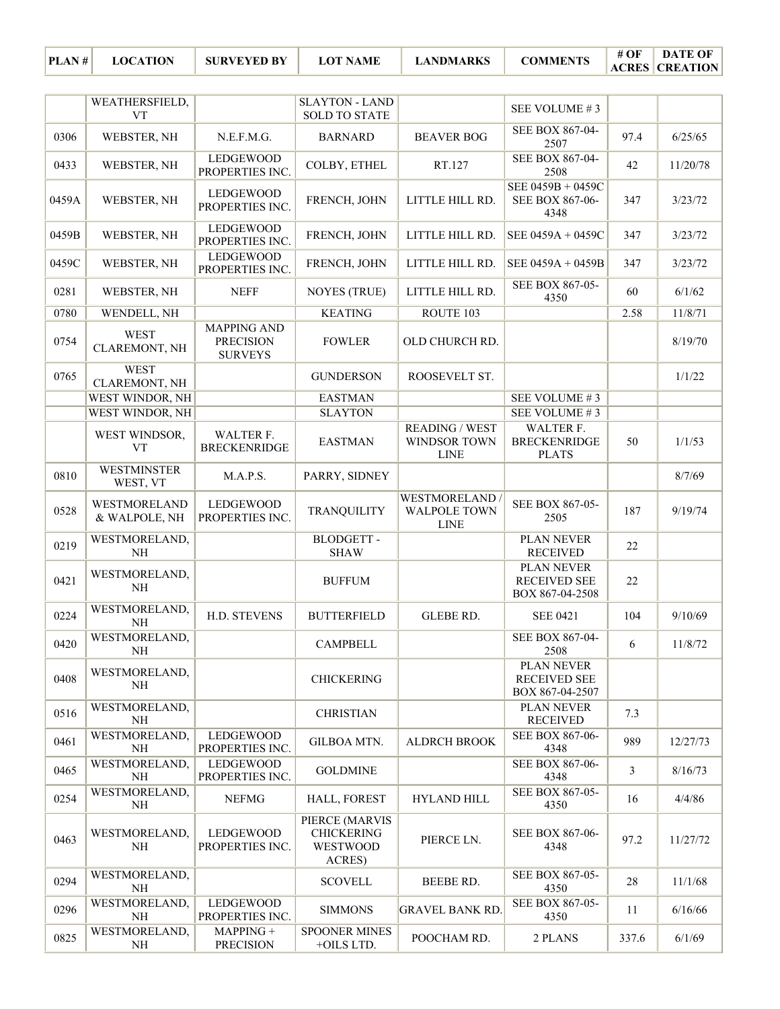|       | WEATHERSFIELD,<br><b>VT</b>    |                                                          | <b>SLAYTON - LAND</b><br><b>SOLD TO STATE</b>                    |                                                      | SEE VOLUME #3                                               |                |          |
|-------|--------------------------------|----------------------------------------------------------|------------------------------------------------------------------|------------------------------------------------------|-------------------------------------------------------------|----------------|----------|
| 0306  | WEBSTER, NH                    | N.E.F.M.G.                                               | <b>BARNARD</b>                                                   | <b>BEAVER BOG</b>                                    | SEE BOX 867-04-<br>2507                                     | 97.4           | 6/25/65  |
| 0433  | WEBSTER, NH                    | LEDGEWOOD<br>PROPERTIES INC.                             | COLBY, ETHEL                                                     | RT.127                                               | SEE BOX 867-04-<br>2508                                     | 42             | 11/20/78 |
| 0459A | WEBSTER, NH                    | LEDGEWOOD<br>PROPERTIES INC.                             | FRENCH, JOHN                                                     | LITTLE HILL RD.                                      | SEE 0459B + 0459C<br>SEE BOX 867-06-<br>4348                | 347            | 3/23/72  |
| 0459B | WEBSTER, NH                    | <b>LEDGEWOOD</b><br>PROPERTIES INC.                      | FRENCH, JOHN                                                     | LITTLE HILL RD.                                      | SEE 0459A + 0459C                                           | 347            | 3/23/72  |
| 0459C | WEBSTER, NH                    | LEDGEWOOD<br>PROPERTIES INC.                             | FRENCH, JOHN                                                     | LITTLE HILL RD.                                      | SEE 0459A + 0459B                                           | 347            | 3/23/72  |
| 0281  | WEBSTER, NH                    | <b>NEFF</b>                                              | <b>NOYES (TRUE)</b>                                              | LITTLE HILL RD.                                      | SEE BOX 867-05-<br>4350                                     | 60             | 6/1/62   |
| 0780  | WENDELL, NH                    |                                                          | <b>KEATING</b>                                                   | ROUTE 103                                            |                                                             | 2.58           | 11/8/71  |
| 0754  | <b>WEST</b><br>CLAREMONT, NH   | <b>MAPPING AND</b><br><b>PRECISION</b><br><b>SURVEYS</b> | <b>FOWLER</b>                                                    | OLD CHURCH RD.                                       |                                                             |                | 8/19/70  |
| 0765  | <b>WEST</b><br>CLAREMONT, NH   |                                                          | <b>GUNDERSON</b>                                                 | ROOSEVELT ST.                                        |                                                             |                | 1/1/22   |
|       | WEST WINDOR, NH                |                                                          | <b>EASTMAN</b>                                                   |                                                      | SEE VOLUME #3                                               |                |          |
|       | WEST WINDOR, NH                |                                                          | <b>SLAYTON</b>                                                   |                                                      | SEE VOLUME #3                                               |                |          |
|       | WEST WINDSOR,<br><b>VT</b>     | WALTER F.<br><b>BRECKENRIDGE</b>                         | <b>EASTMAN</b>                                                   | <b>READING / WEST</b><br>WINDSOR TOWN<br><b>LINE</b> | <b>WALTER F.</b><br><b>BRECKENRIDGE</b><br><b>PLATS</b>     | 50             | 1/1/53   |
| 0810  | <b>WESTMINSTER</b><br>WEST, VT | M.A.P.S.                                                 | PARRY, SIDNEY                                                    |                                                      |                                                             |                | 8/7/69   |
| 0528  | WESTMORELAND<br>& WALPOLE, NH  | LEDGEWOOD<br>PROPERTIES INC.                             | <b>TRANQUILITY</b>                                               | WESTMORELAND<br><b>WALPOLE TOWN</b><br><b>LINE</b>   | SEE BOX 867-05-<br>2505                                     | 187            | 9/19/74  |
| 0219  | WESTMORELAND,<br><b>NH</b>     |                                                          | <b>BLODGETT-</b><br><b>SHAW</b>                                  |                                                      | <b>PLAN NEVER</b><br><b>RECEIVED</b>                        | 22             |          |
| 0421  | WESTMORELAND,<br><b>NH</b>     |                                                          | <b>BUFFUM</b>                                                    |                                                      | <b>PLAN NEVER</b><br><b>RECEIVED SEE</b><br>BOX 867-04-2508 | 22             |          |
| 0224  | WESTMORELAND,<br>$\rm NH$      | H.D. STEVENS                                             | <b>BUTTERFIELD</b>                                               | GLEBE RD.                                            | <b>SEE 0421</b>                                             | 104            | 9/10/69  |
| 0420  | WESTMORELAND,<br>NH            |                                                          | <b>CAMPBELL</b>                                                  |                                                      | SEE BOX 867-04-<br>2508                                     | 6              | 11/8/72  |
| 0408  | WESTMORELAND,<br>NH            |                                                          | <b>CHICKERING</b>                                                |                                                      | PLAN NEVER<br><b>RECEIVED SEE</b><br>BOX 867-04-2507        |                |          |
| 0516  | WESTMORELAND,<br><b>NH</b>     |                                                          | <b>CHRISTIAN</b>                                                 |                                                      | <b>PLAN NEVER</b><br><b>RECEIVED</b>                        | 7.3            |          |
| 0461  | WESTMORELAND,<br>NH            | LEDGEWOOD<br>PROPERTIES INC.                             | <b>GILBOA MTN.</b>                                               | <b>ALDRCH BROOK</b>                                  | SEE BOX 867-06-<br>4348                                     | 989            | 12/27/73 |
| 0465  | WESTMORELAND,<br>NH            | <b>LEDGEWOOD</b><br>PROPERTIES INC.                      | <b>GOLDMINE</b>                                                  |                                                      | SEE BOX 867-06-<br>4348                                     | $\overline{3}$ | 8/16/73  |
| 0254  | WESTMORELAND,<br>$\rm NH$      | <b>NEFMG</b>                                             | HALL, FOREST                                                     | <b>HYLAND HILL</b>                                   | SEE BOX 867-05-<br>4350                                     | 16             | 4/4/86   |
| 0463  | WESTMORELAND,<br>NH            | LEDGEWOOD<br>PROPERTIES INC.                             | PIERCE (MARVIS<br><b>CHICKERING</b><br><b>WESTWOOD</b><br>ACRES) | PIERCE LN.                                           | SEE BOX 867-06-<br>4348                                     | 97.2           | 11/27/72 |
| 0294  | WESTMORELAND,<br>$\rm NH$      |                                                          | <b>SCOVELL</b>                                                   | BEEBE RD.                                            | SEE BOX 867-05-<br>4350                                     | 28             | 11/1/68  |
| 0296  | WESTMORELAND,<br>NH            | LEDGEWOOD<br>PROPERTIES INC.                             | <b>SIMMONS</b>                                                   | <b>GRAVEL BANK RD.</b>                               | SEE BOX 867-05-<br>4350                                     | 11             | 6/16/66  |
| 0825  | WESTMORELAND,<br>NH            | MAPPING +<br><b>PRECISION</b>                            | <b>SPOONER MINES</b><br>+OILS LTD.                               | POOCHAM RD.                                          | 2 PLANS                                                     | 337.6          | 6/1/69   |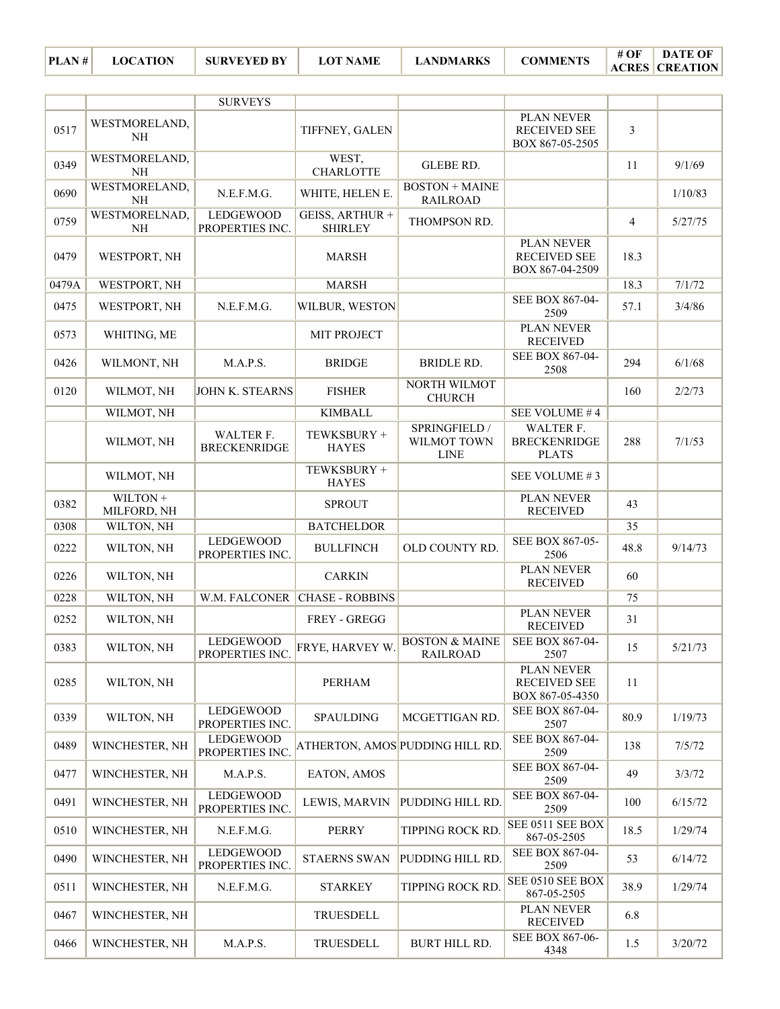| PLAN# | <b>LOCATION</b> | <b>SURVEYED BY</b> | <b>LOT NAME</b> | <b>LANDMARKS</b> | <b>COMMENTS</b> | # OF | DATE OF               |
|-------|-----------------|--------------------|-----------------|------------------|-----------------|------|-----------------------|
|       |                 |                    |                 |                  |                 |      | <b>ACRES CREATION</b> |

|       |                           | <b>SURVEYS</b>                      |                                   |                                              |                                                             |                |         |
|-------|---------------------------|-------------------------------------|-----------------------------------|----------------------------------------------|-------------------------------------------------------------|----------------|---------|
| 0517  | WESTMORELAND,<br>NH       |                                     | TIFFNEY, GALEN                    |                                              | <b>PLAN NEVER</b><br><b>RECEIVED SEE</b><br>BOX 867-05-2505 | $\mathfrak{Z}$ |         |
| 0349  | WESTMORELAND,<br>NH       |                                     | WEST,<br><b>CHARLOTTE</b>         | GLEBE RD.                                    |                                                             | 11             | 9/1/69  |
| 0690  | WESTMORELAND,<br>NH       | N.E.F.M.G.                          | WHITE, HELEN E.                   | <b>BOSTON + MAINE</b><br><b>RAILROAD</b>     |                                                             |                | 1/10/83 |
| 0759  | WESTMORELNAD,<br>$\rm NH$ | <b>LEDGEWOOD</b><br>PROPERTIES INC. | GEISS, ARTHUR +<br><b>SHIRLEY</b> | THOMPSON RD.                                 |                                                             | $\overline{4}$ | 5/27/75 |
| 0479  | WESTPORT, NH              |                                     | <b>MARSH</b>                      |                                              | PLAN NEVER<br><b>RECEIVED SEE</b><br>BOX 867-04-2509        | 18.3           |         |
| 0479A | WESTPORT, NH              |                                     | <b>MARSH</b>                      |                                              |                                                             | 18.3           | 7/1/72  |
| 0475  | WESTPORT, NH              | N.E.F.M.G.                          | WILBUR, WESTON                    |                                              | SEE BOX 867-04-<br>2509                                     | 57.1           | 3/4/86  |
| 0573  | WHITING, ME               |                                     | MIT PROJECT                       |                                              | <b>PLAN NEVER</b><br><b>RECEIVED</b>                        |                |         |
| 0426  | WILMONT, NH               | M.A.P.S.                            | <b>BRIDGE</b>                     | BRIDLE RD.                                   | SEE BOX 867-04-<br>2508                                     | 294            | 6/1/68  |
| 0120  | WILMOT, NH                | JOHN K. STEARNS                     | <b>FISHER</b>                     | NORTH WILMOT<br><b>CHURCH</b>                |                                                             | 160            | 2/2/73  |
|       | WILMOT, NH                |                                     | <b>KIMBALL</b>                    |                                              | SEE VOLUME #4                                               |                |         |
|       | WILMOT, NH                | WALTER F.<br><b>BRECKENRIDGE</b>    | TEWKSBURY +<br><b>HAYES</b>       | SPRINGFIELD /<br>WILMOT TOWN<br><b>LINE</b>  | WALTER F.<br><b>BRECKENRIDGE</b><br><b>PLATS</b>            | 288            | 7/1/53  |
|       | WILMOT, NH                |                                     | TEWKSBURY +<br><b>HAYES</b>       |                                              | SEE VOLUME #3                                               |                |         |
| 0382  | WILTON +<br>MILFORD, NH   |                                     | <b>SPROUT</b>                     |                                              | PLAN NEVER<br><b>RECEIVED</b>                               | 43             |         |
| 0308  | WILTON, NH                |                                     | <b>BATCHELDOR</b>                 |                                              |                                                             | 35             |         |
| 0222  | WILTON, NH                | <b>LEDGEWOOD</b><br>PROPERTIES INC. | <b>BULLFINCH</b>                  | OLD COUNTY RD.                               | SEE BOX 867-05-<br>2506                                     | 48.8           | 9/14/73 |
| 0226  | WILTON, NH                |                                     | <b>CARKIN</b>                     |                                              | PLAN NEVER<br><b>RECEIVED</b>                               | 60             |         |
| 0228  | WILTON, NH                | W.M. FALCONER                       | <b>CHASE - ROBBINS</b>            |                                              |                                                             | 75             |         |
| 0252  | WILTON, NH                |                                     | FREY - GREGG                      |                                              | PLAN NEVER<br><b>RECEIVED</b>                               | 31             |         |
| 0383  | WILTON, NH                | <b>LEDGEWOOD</b><br>PROPERTIES INC. | FRYE, HARVEY W.                   | <b>BOSTON &amp; MAINE</b><br><b>RAILROAD</b> | SEE BOX 867-04-<br>2507                                     | 15             | 5/21/73 |
| 0285  | WILTON, NH                |                                     | PERHAM                            |                                              | PLAN NEVER<br><b>RECEIVED SEE</b><br>BOX 867-05-4350        | 11             |         |
| 0339  | WILTON, NH                | LEDGEWOOD<br>PROPERTIES INC.        | <b>SPAULDING</b>                  | MCGETTIGAN RD.                               | SEE BOX 867-04-<br>2507                                     | 80.9           | 1/19/73 |
| 0489  | WINCHESTER, NH            | LEDGEWOOD<br>PROPERTIES INC.        |                                   | ATHERTON, AMOS PUDDING HILL RD.              | SEE BOX 867-04-<br>2509                                     | 138            | 7/5/72  |
| 0477  | WINCHESTER, NH            | M.A.P.S.                            | EATON, AMOS                       |                                              | SEE BOX 867-04-<br>2509                                     | 49             | 3/3/72  |
| 0491  | WINCHESTER, NH            | LEDGEWOOD<br>PROPERTIES INC.        | LEWIS, MARVIN                     | PUDDING HILL RD.                             | SEE BOX 867-04-<br>2509                                     | 100            | 6/15/72 |
| 0510  | WINCHESTER, NH            | N.E.F.M.G.                          | <b>PERRY</b>                      | TIPPING ROCK RD.                             | SEE 0511 SEE BOX<br>867-05-2505                             | 18.5           | 1/29/74 |
| 0490  | WINCHESTER, NH            | LEDGEWOOD<br>PROPERTIES INC.        | <b>STAERNS SWAN</b>               | PUDDING HILL RD.                             | SEE BOX 867-04-<br>2509                                     | 53             | 6/14/72 |
| 0511  | WINCHESTER, NH            | N.E.F.M.G.                          | <b>STARKEY</b>                    | TIPPING ROCK RD.                             | SEE 0510 SEE BOX<br>867-05-2505                             | 38.9           | 1/29/74 |
| 0467  | WINCHESTER, NH            |                                     | TRUESDELL                         |                                              | PLAN NEVER<br><b>RECEIVED</b>                               | 6.8            |         |
| 0466  | WINCHESTER, NH            | M.A.P.S.                            | TRUESDELL                         | BURT HILL RD.                                | SEE BOX 867-06-<br>4348                                     | 1.5            | 3/20/72 |